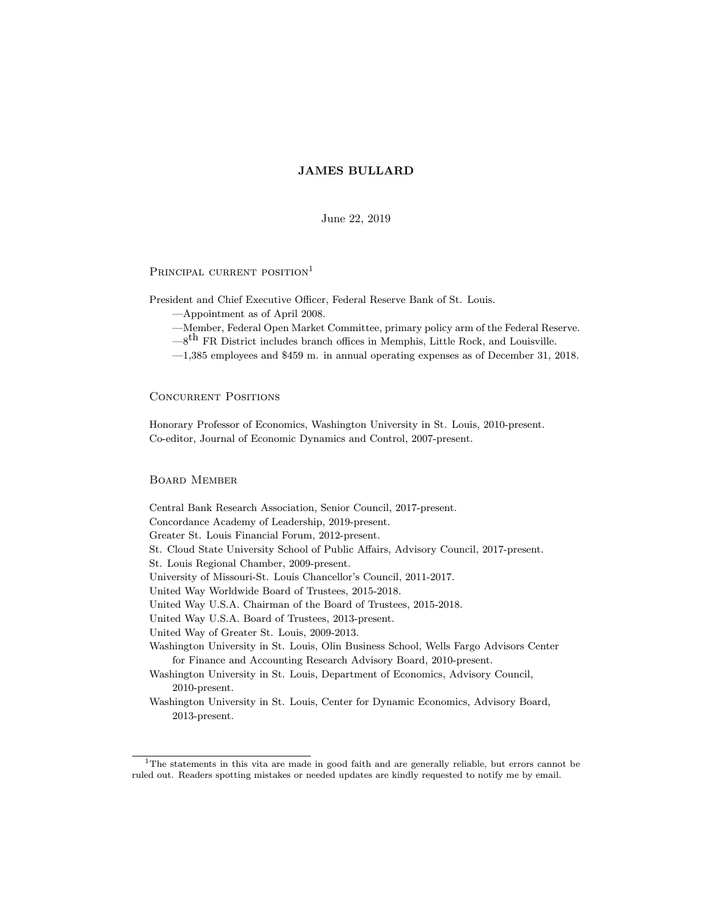June 22, 2019

# PRINCIPAL CURRENT POSITION<sup>1</sup>

President and Chief Executive Officer, Federal Reserve Bank of St. Louis.

- |Appointment as of April 2008.
- |Member, Federal Open Market Committee, primary policy arm of the Federal Reserve.
- $-8$ <sup>th</sup> FR District includes branch offices in Memphis, Little Rock, and Louisville.
- $-1,385$  employees and \$459 m. in annual operating expenses as of December 31, 2018.

# Concurrent Positions

Honorary Professor of Economics, Washington University in St. Louis, 2010-present. Co-editor, Journal of Economic Dynamics and Control, 2007-present.

### Board Member

2013-present.

Central Bank Research Association, Senior Council, 2017-present. Concordance Academy of Leadership, 2019-present. Greater St. Louis Financial Forum, 2012-present. St. Cloud State University School of Public Affairs, Advisory Council, 2017-present. St. Louis Regional Chamber, 2009-present. University of Missouri-St. Louis Chancellor's Council, 2011-2017. United Way Worldwide Board of Trustees, 2015-2018. United Way U.S.A. Chairman of the Board of Trustees, 2015-2018. United Way U.S.A. Board of Trustees, 2013-present. United Way of Greater St. Louis, 2009-2013. Washington University in St. Louis, Olin Business School, Wells Fargo Advisors Center for Finance and Accounting Research Advisory Board, 2010-present. Washington University in St. Louis, Department of Economics, Advisory Council, 2010-present. Washington University in St. Louis, Center for Dynamic Economics, Advisory Board,

<sup>&</sup>lt;sup>1</sup>The statements in this vita are made in good faith and are generally reliable, but errors cannot be ruled out. Readers spotting mistakes or needed updates are kindly requested to notify me by email.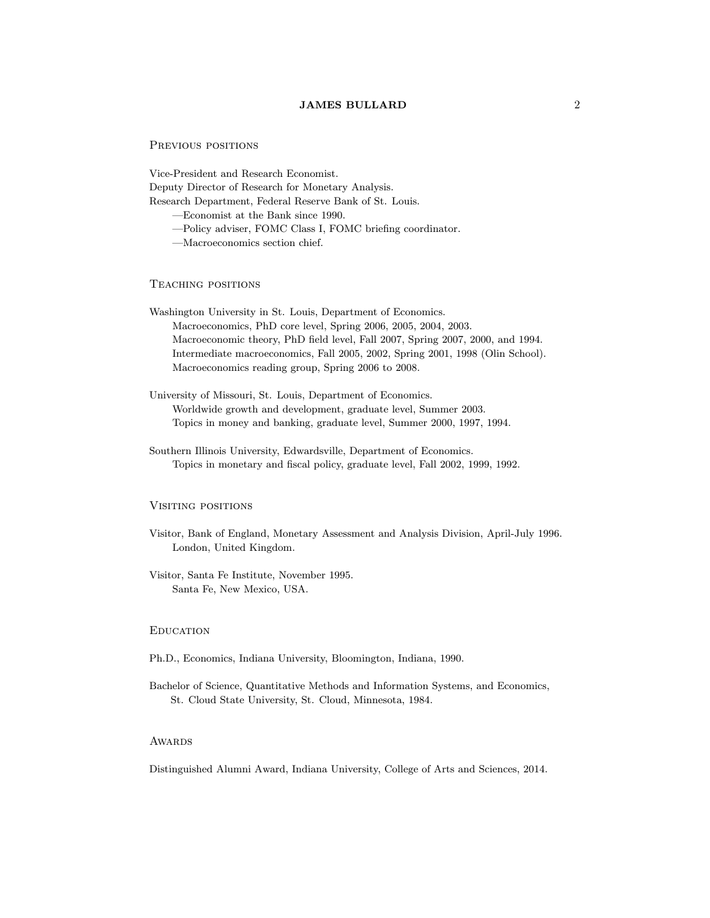### PREVIOUS POSITIONS

Vice-President and Research Economist. Deputy Director of Research for Monetary Analysis. Research Department, Federal Reserve Bank of St. Louis.

|Economist at the Bank since 1990.

-Policy adviser, FOMC Class I, FOMC briefing coordinator.

|Macroeconomics section chief.

# Teaching positions

- Washington University in St. Louis, Department of Economics. Macroeconomics, PhD core level, Spring 2006, 2005, 2004, 2003. Macroeconomic theory, PhD field level, Fall 2007, Spring 2007, 2000, and 1994. Intermediate macroeconomics, Fall 2005, 2002, Spring 2001, 1998 (Olin School). Macroeconomics reading group, Spring 2006 to 2008.
- University of Missouri, St. Louis, Department of Economics. Worldwide growth and development, graduate level, Summer 2003. Topics in money and banking, graduate level, Summer 2000, 1997, 1994.
- Southern Illinois University, Edwardsville, Department of Economics. Topics in monetary and fiscal policy, graduate level, Fall 2002, 1999, 1992.

### Visiting positions

- Visitor, Bank of England, Monetary Assessment and Analysis Division, April-July 1996. London, United Kingdom.
- Visitor, Santa Fe Institute, November 1995. Santa Fe, New Mexico, USA.

# **EDUCATION**

- Ph.D., Economics, Indiana University, Bloomington, Indiana, 1990.
- Bachelor of Science, Quantitative Methods and Information Systems, and Economics, St. Cloud State University, St. Cloud, Minnesota, 1984.

# **AWARDS**

Distinguished Alumni Award, Indiana University, College of Arts and Sciences, 2014.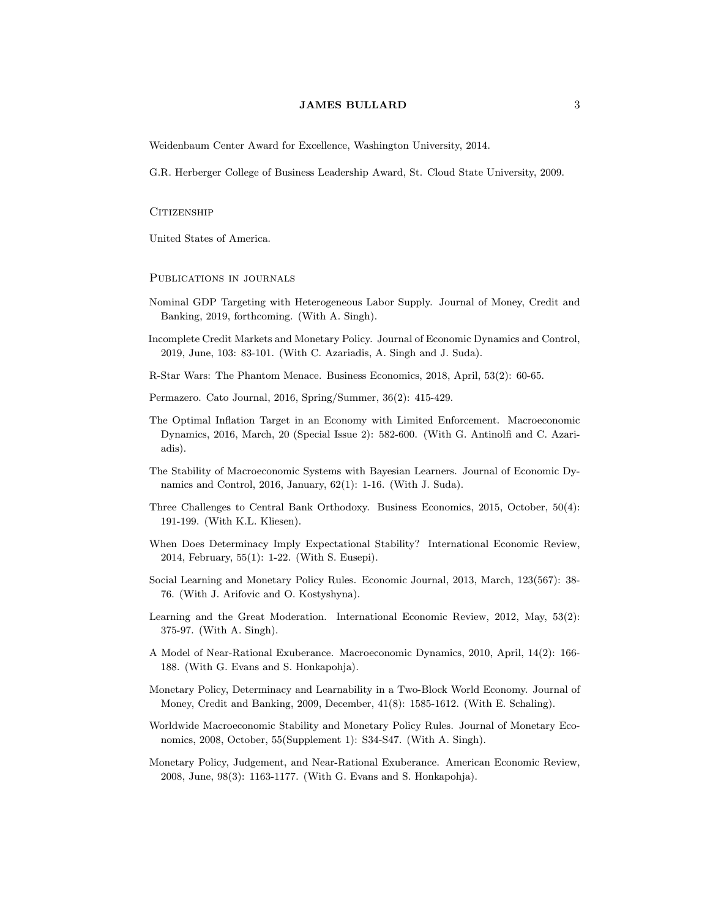Weidenbaum Center Award for Excellence, Washington University, 2014.

G.R. Herberger College of Business Leadership Award, St. Cloud State University, 2009.

## CITIZENSHIP

United States of America.

PUBLICATIONS IN JOURNALS

- Nominal GDP Targeting with Heterogeneous Labor Supply. Journal of Money, Credit and Banking, 2019, forthcoming. (With A. Singh).
- Incomplete Credit Markets and Monetary Policy. Journal of Economic Dynamics and Control, 2019, June, 103: 83-101. (With C. Azariadis, A. Singh and J. Suda).

R-Star Wars: The Phantom Menace. Business Economics, 2018, April, 53(2): 60-65.

Permazero. Cato Journal, 2016, Spring/Summer, 36(2): 415-429.

- The Optimal Inflation Target in an Economy with Limited Enforcement. Macroeconomic Dynamics, 2016, March, 20 (Special Issue 2): 582-600. (With G. Antinolfi and C. Azariadis).
- The Stability of Macroeconomic Systems with Bayesian Learners. Journal of Economic Dynamics and Control, 2016, January, 62(1): 1-16. (With J. Suda).
- Three Challenges to Central Bank Orthodoxy. Business Economics, 2015, October, 50(4): 191-199. (With K.L. Kliesen).
- When Does Determinacy Imply Expectational Stability? International Economic Review, 2014, February, 55(1): 1-22. (With S. Eusepi).
- Social Learning and Monetary Policy Rules. Economic Journal, 2013, March, 123(567): 38- 76. (With J. Arifovic and O. Kostyshyna).
- Learning and the Great Moderation. International Economic Review, 2012, May, 53(2): 375-97. (With A. Singh).
- A Model of Near-Rational Exuberance. Macroeconomic Dynamics, 2010, April, 14(2): 166- 188. (With G. Evans and S. Honkapohja).
- Monetary Policy, Determinacy and Learnability in a Two-Block World Economy. Journal of Money, Credit and Banking, 2009, December, 41(8): 1585-1612. (With E. Schaling).
- Worldwide Macroeconomic Stability and Monetary Policy Rules. Journal of Monetary Economics, 2008, October, 55(Supplement 1): S34-S47. (With A. Singh).
- Monetary Policy, Judgement, and Near-Rational Exuberance. American Economic Review, 2008, June, 98(3): 1163-1177. (With G. Evans and S. Honkapohja).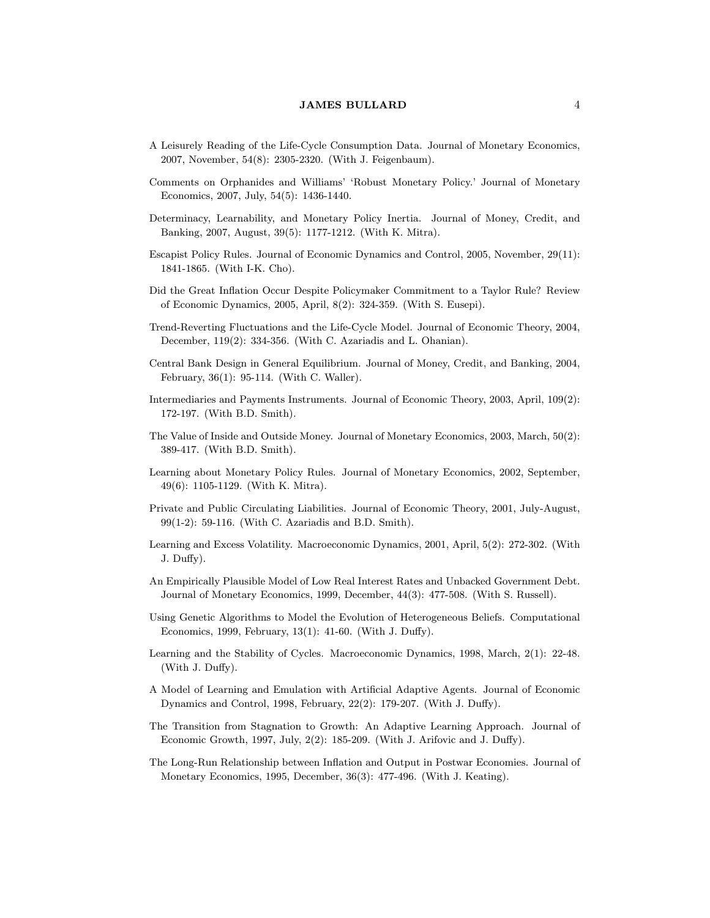- A Leisurely Reading of the Life-Cycle Consumption Data. Journal of Monetary Economics, 2007, November, 54(8): 2305-2320. (With J. Feigenbaum).
- Comments on Orphanides and Williams' `Robust Monetary Policy.' Journal of Monetary Economics, 2007, July, 54(5): 1436-1440.
- Determinacy, Learnability, and Monetary Policy Inertia. Journal of Money, Credit, and Banking, 2007, August, 39(5): 1177-1212. (With K. Mitra).
- Escapist Policy Rules. Journal of Economic Dynamics and Control, 2005, November, 29(11): 1841-1865. (With I-K. Cho).
- Did the Great In
ation Occur Despite Policymaker Commitment to a Taylor Rule? Review of Economic Dynamics, 2005, April, 8(2): 324-359. (With S. Eusepi).
- Trend-Reverting Fluctuations and the Life-Cycle Model. Journal of Economic Theory, 2004, December, 119(2): 334-356. (With C. Azariadis and L. Ohanian).
- Central Bank Design in General Equilibrium. Journal of Money, Credit, and Banking, 2004, February, 36(1): 95-114. (With C. Waller).
- Intermediaries and Payments Instruments. Journal of Economic Theory, 2003, April, 109(2): 172-197. (With B.D. Smith).
- The Value of Inside and Outside Money. Journal of Monetary Economics, 2003, March, 50(2): 389-417. (With B.D. Smith).
- Learning about Monetary Policy Rules. Journal of Monetary Economics, 2002, September, 49(6): 1105-1129. (With K. Mitra).
- Private and Public Circulating Liabilities. Journal of Economic Theory, 2001, July-August, 99(1-2): 59-116. (With C. Azariadis and B.D. Smith).
- Learning and Excess Volatility. Macroeconomic Dynamics, 2001, April, 5(2): 272-302. (With J. Duffy).
- An Empirically Plausible Model of Low Real Interest Rates and Unbacked Government Debt. Journal of Monetary Economics, 1999, December, 44(3): 477-508. (With S. Russell).
- Using Genetic Algorithms to Model the Evolution of Heterogeneous Beliefs. Computational Economics, 1999, February, 13(1): 41-60. (With J. Duffy).
- Learning and the Stability of Cycles. Macroeconomic Dynamics, 1998, March, 2(1): 22-48. (With J. Duffy).
- A Model of Learning and Emulation with Articial Adaptive Agents. Journal of Economic Dynamics and Control, 1998, February,  $22(2)$ : 179-207. (With J. Duffy).
- The Transition from Stagnation to Growth: An Adaptive Learning Approach. Journal of Economic Growth, 1997, July,  $2(2)$ : 185-209. (With J. Arifovic and J. Duffy).
- The Long-Run Relationship between Inflation and Output in Postwar Economies. Journal of Monetary Economics, 1995, December, 36(3): 477-496. (With J. Keating).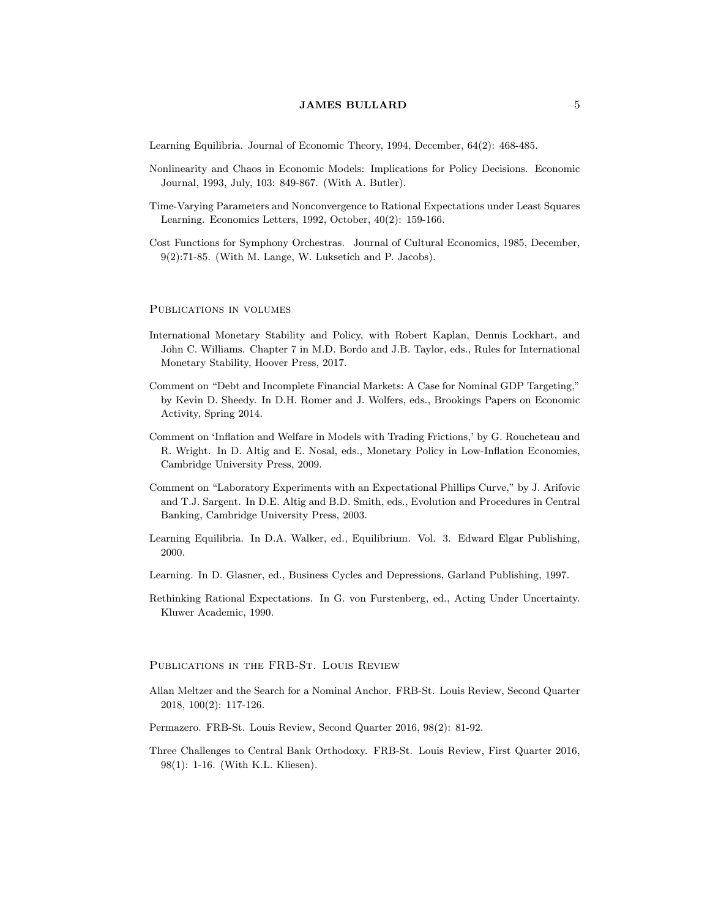Learning Equilibria. Journal of Economic Theory, 1994, December, 64(2): 468-485.

- Nonlinearity and Chaos in Economic Models: Implications for Policy Decisions. Economic Journal, 1993, July, 103: 849-867. (With A. Butler).
- Time-Varying Parameters and Nonconvergence to Rational Expectations under Least Squares Learning. Economics Letters, 1992, October, 40(2): 159-166.
- Cost Functions for Symphony Orchestras. Journal of Cultural Economics, 1985, December, 9(2):71-85. (With M. Lange, W. Luksetich and P. Jacobs).

#### PUBLICATIONS IN VOLUMES

- International Monetary Stability and Policy, with Robert Kaplan, Dennis Lockhart, and John C. Williams. Chapter 7 in M.D. Bordo and J.B. Taylor, eds., Rules for International Monetary Stability, Hoover Press, 2017.
- Comment on "Debt and Incomplete Financial Markets: A Case for Nominal GDP Targeting," by Kevin D. Sheedy. In D.H. Romer and J. Wolfers, eds., Brookings Papers on Economic Activity, Spring 2014.
- Comment on 'Inflation and Welfare in Models with Trading Frictions,' by G. Roucheteau and R. Wright. In D. Altig and E. Nosal, eds., Monetary Policy in Low-In
ation Economies, Cambridge University Press, 2009.
- Comment on "Laboratory Experiments with an Expectational Phillips Curve," by J. Arifovic and T.J. Sargent. In D.E. Altig and B.D. Smith, eds., Evolution and Procedures in Central Banking, Cambridge University Press, 2003.
- Learning Equilibria. In D.A. Walker, ed., Equilibrium. Vol. 3. Edward Elgar Publishing, 2000.
- Learning. In D. Glasner, ed., Business Cycles and Depressions, Garland Publishing, 1997.
- Rethinking Rational Expectations. In G. von Furstenberg, ed., Acting Under Uncertainty. Kluwer Academic, 1990.

### Publications in the FRB-St. Louis Review

- Allan Meltzer and the Search for a Nominal Anchor. FRB-St. Louis Review, Second Quarter 2018, 100(2): 117-126.
- Permazero. FRB-St. Louis Review, Second Quarter 2016, 98(2): 81-92.
- Three Challenges to Central Bank Orthodoxy. FRB-St. Louis Review, First Quarter 2016, 98(1): 1-16. (With K.L. Kliesen).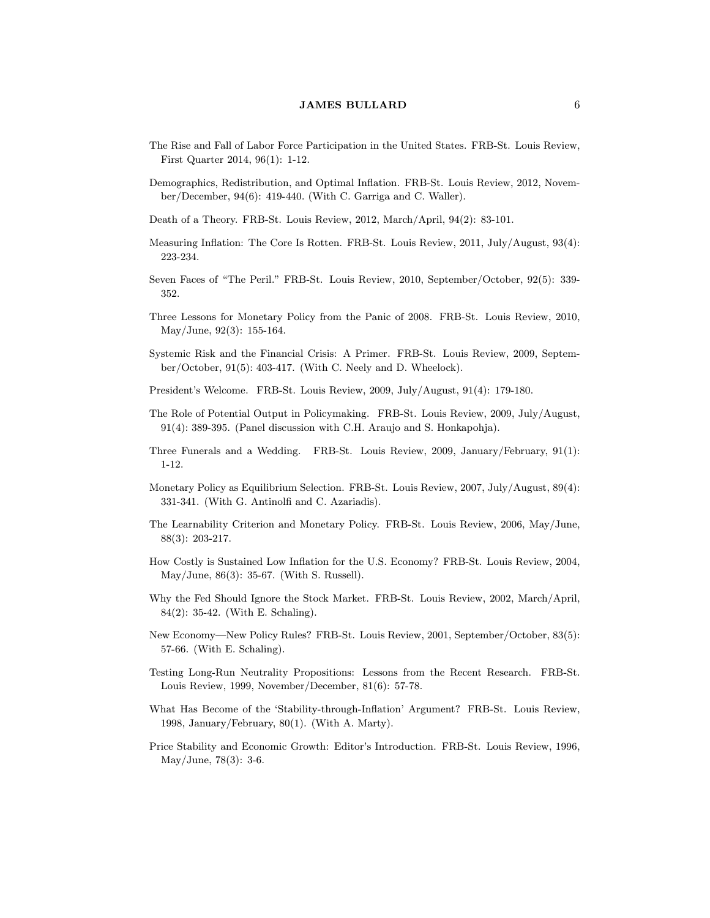- The Rise and Fall of Labor Force Participation in the United States. FRB-St. Louis Review, First Quarter 2014, 96(1): 1-12.
- Demographics, Redistribution, and Optimal Inflation. FRB-St. Louis Review, 2012, November/December, 94(6): 419-440. (With C. Garriga and C. Waller).
- Death of a Theory. FRB-St. Louis Review, 2012, March/April, 94(2): 83-101.
- Measuring Inflation: The Core Is Rotten. FRB-St. Louis Review, 2011, July/August, 93(4): 223-234.
- Seven Faces of "The Peril." FRB-St. Louis Review, 2010, September/October, 92(5): 339-352.
- Three Lessons for Monetary Policy from the Panic of 2008. FRB-St. Louis Review, 2010, May/June, 92(3): 155-164.
- Systemic Risk and the Financial Crisis: A Primer. FRB-St. Louis Review, 2009, September/October, 91(5): 403-417. (With C. Neely and D. Wheelock).
- President's Welcome. FRB-St. Louis Review, 2009, July/August, 91(4): 179-180.
- The Role of Potential Output in Policymaking. FRB-St. Louis Review, 2009, July/August, 91(4): 389-395. (Panel discussion with C.H. Araujo and S. Honkapohja).
- Three Funerals and a Wedding. FRB-St. Louis Review, 2009, January/February, 91(1): 1-12.
- Monetary Policy as Equilibrium Selection. FRB-St. Louis Review, 2007, July/August, 89(4): 331-341. (With G. Antinolfi and C. Azariadis).
- The Learnability Criterion and Monetary Policy. FRB-St. Louis Review, 2006, May/June, 88(3): 203-217.
- How Costly is Sustained Low In
ation for the U.S. Economy? FRB-St. Louis Review, 2004, May/June, 86(3): 35-67. (With S. Russell).
- Why the Fed Should Ignore the Stock Market. FRB-St. Louis Review, 2002, March/April, 84(2): 35-42. (With E. Schaling).
- New Economy-New Policy Rules? FRB-St. Louis Review, 2001, September/October, 83(5): 57-66. (With E. Schaling).
- Testing Long-Run Neutrality Propositions: Lessons from the Recent Research. FRB-St. Louis Review, 1999, November/December, 81(6): 57-78.
- What Has Become of the 'Stability-through-Inflation' Argument? FRB-St. Louis Review, 1998, January/February, 80(1). (With A. Marty).
- Price Stability and Economic Growth: Editor's Introduction. FRB-St. Louis Review, 1996, May/June, 78(3): 3-6.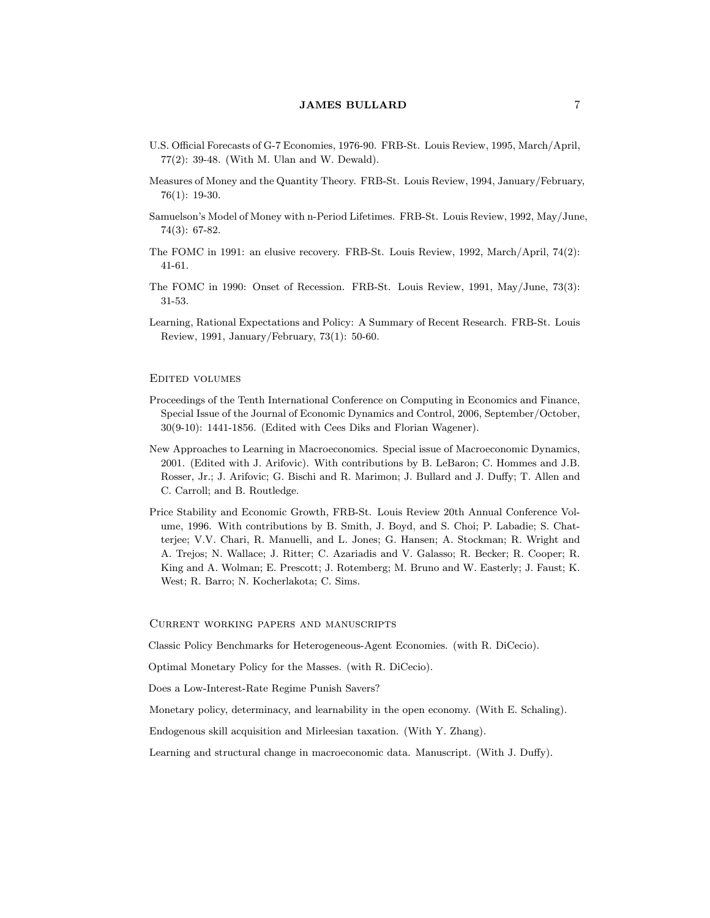- U.S. Official Forecasts of G-7 Economies, 1976-90. FRB-St. Louis Review, 1995, March/April, 77(2): 39-48. (With M. Ulan and W. Dewald).
- Measures of Money and the Quantity Theory. FRB-St. Louis Review, 1994, January/February, 76(1): 19-30.
- Samuelson's Model of Money with n-Period Lifetimes. FRB-St. Louis Review, 1992, May/June, 74(3): 67-82.
- The FOMC in 1991: an elusive recovery. FRB-St. Louis Review, 1992, March/April, 74(2): 41-61.
- The FOMC in 1990: Onset of Recession. FRB-St. Louis Review, 1991, May/June, 73(3): 31-53.
- Learning, Rational Expectations and Policy: A Summary of Recent Research. FRB-St. Louis Review, 1991, January/February, 73(1): 50-60.

#### Edited volumes

- Proceedings of the Tenth International Conference on Computing in Economics and Finance, Special Issue of the Journal of Economic Dynamics and Control, 2006, September/October, 30(9-10): 1441-1856. (Edited with Cees Diks and Florian Wagener).
- New Approaches to Learning in Macroeconomics. Special issue of Macroeconomic Dynamics, 2001. (Edited with J. Arifovic). With contributions by B. LeBaron; C. Hommes and J.B. Rosser, Jr.; J. Arifovic; G. Bischi and R. Marimon; J. Bullard and J. Duffy; T. Allen and C. Carroll; and B. Routledge.
- Price Stability and Economic Growth, FRB-St. Louis Review 20th Annual Conference Volume, 1996. With contributions by B. Smith, J. Boyd, and S. Choi; P. Labadie; S. Chatterjee; V.V. Chari, R. Manuelli, and L. Jones; G. Hansen; A. Stockman; R. Wright and A. Trejos; N. Wallace; J. Ritter; C. Azariadis and V. Galasso; R. Becker; R. Cooper; R. King and A. Wolman; E. Prescott; J. Rotemberg; M. Bruno and W. Easterly; J. Faust; K. West; R. Barro; N. Kocherlakota; C. Sims.

## Current working papers and manuscripts

Classic Policy Benchmarks for Heterogeneous-Agent Economies. (with R. DiCecio).

Optimal Monetary Policy for the Masses. (with R. DiCecio).

Does a Low-Interest-Rate Regime Punish Savers?

Monetary policy, determinacy, and learnability in the open economy. (With E. Schaling).

Endogenous skill acquisition and Mirleesian taxation. (With Y. Zhang).

Learning and structural change in macroeconomic data. Manuscript. (With J. Duffy).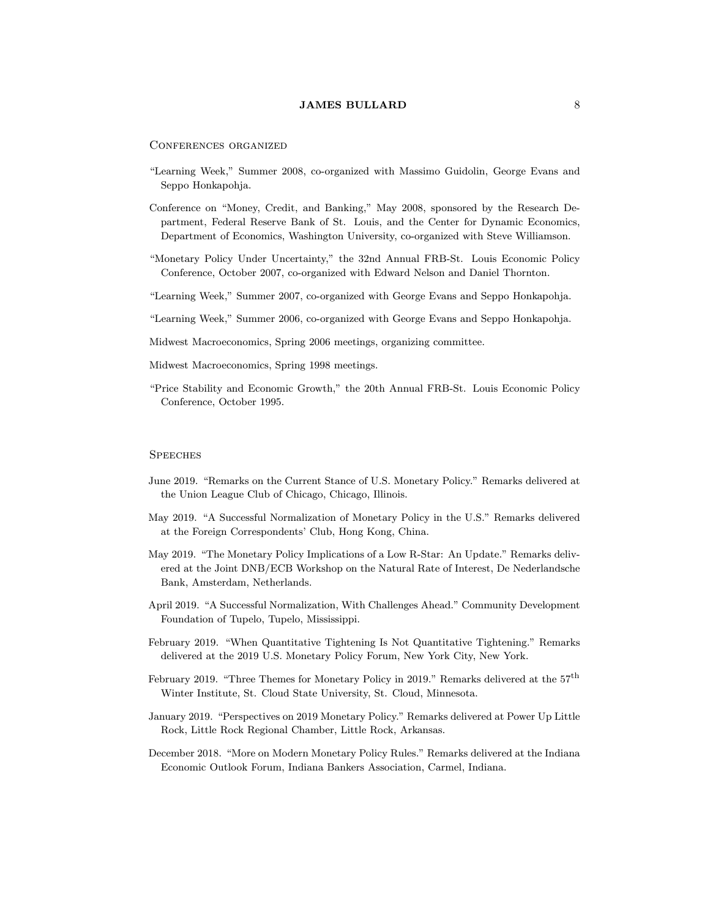Conferences organized

- "Learning Week," Summer 2008, co-organized with Massimo Guidolin, George Evans and Seppo Honkapohja.
- Conference on "Money, Credit, and Banking," May 2008, sponsored by the Research Department, Federal Reserve Bank of St. Louis, and the Center for Dynamic Economics, Department of Economics, Washington University, co-organized with Steve Williamson.
- \Monetary Policy Under Uncertainty," the 32nd Annual FRB-St. Louis Economic Policy Conference, October 2007, co-organized with Edward Nelson and Daniel Thornton.
- "Learning Week," Summer 2007, co-organized with George Evans and Seppo Honkapohja.
- "Learning Week," Summer 2006, co-organized with George Evans and Seppo Honkapohja.
- Midwest Macroeconomics, Spring 2006 meetings, organizing committee.
- Midwest Macroeconomics, Spring 1998 meetings.
- \Price Stability and Economic Growth," the 20th Annual FRB-St. Louis Economic Policy Conference, October 1995.

#### **SPEECHES**

- June 2019. "Remarks on the Current Stance of U.S. Monetary Policy." Remarks delivered at the Union League Club of Chicago, Chicago, Illinois.
- May 2019. "A Successful Normalization of Monetary Policy in the U.S." Remarks delivered at the Foreign Correspondents' Club, Hong Kong, China.
- May 2019. "The Monetary Policy Implications of a Low R-Star: An Update." Remarks delivered at the Joint DNB/ECB Workshop on the Natural Rate of Interest, De Nederlandsche Bank, Amsterdam, Netherlands.
- April 2019. "A Successful Normalization, With Challenges Ahead." Community Development Foundation of Tupelo, Tupelo, Mississippi.
- February 2019. "When Quantitative Tightening Is Not Quantitative Tightening." Remarks delivered at the 2019 U.S. Monetary Policy Forum, New York City, New York.
- February 2019. "Three Themes for Monetary Policy in 2019." Remarks delivered at the  $57<sup>th</sup>$ Winter Institute, St. Cloud State University, St. Cloud, Minnesota.
- January 2019. "Perspectives on 2019 Monetary Policy." Remarks delivered at Power Up Little Rock, Little Rock Regional Chamber, Little Rock, Arkansas.
- December 2018. "More on Modern Monetary Policy Rules." Remarks delivered at the Indiana Economic Outlook Forum, Indiana Bankers Association, Carmel, Indiana.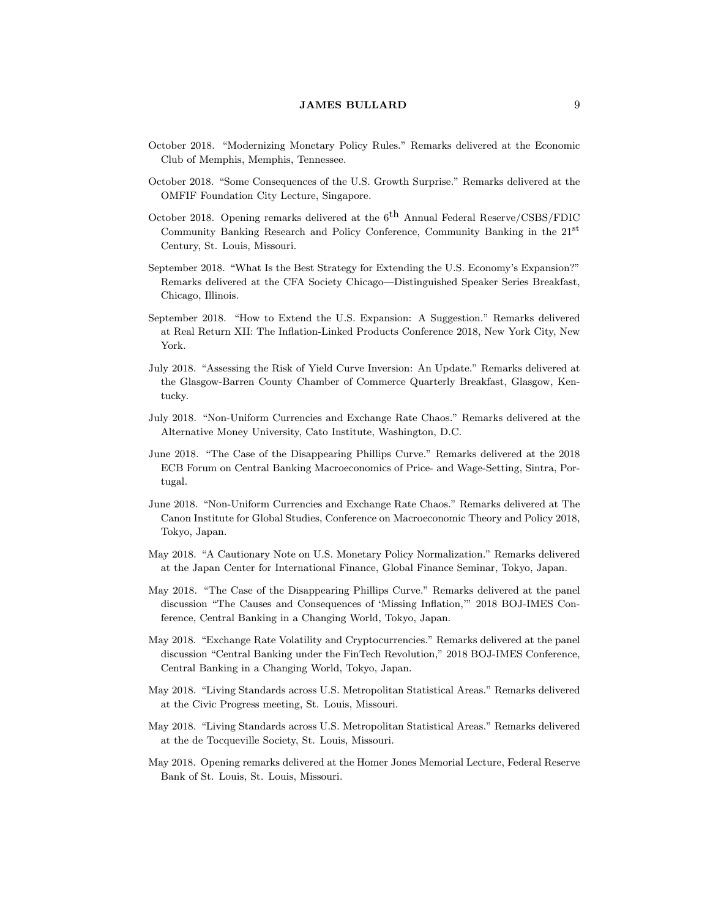- October 2018. "Modernizing Monetary Policy Rules." Remarks delivered at the Economic Club of Memphis, Memphis, Tennessee.
- October 2018. "Some Consequences of the U.S. Growth Surprise." Remarks delivered at the OMFIF Foundation City Lecture, Singapore.
- October 2018. Opening remarks delivered at the  $6<sup>th</sup>$  Annual Federal Reserve/CSBS/FDIC Community Banking Research and Policy Conference, Community Banking in the 21<sup>st</sup> Century, St. Louis, Missouri.
- September 2018. "What Is the Best Strategy for Extending the U.S. Economy's Expansion?" Remarks delivered at the CFA Society Chicago—Distinguished Speaker Series Breakfast, Chicago, Illinois.
- September 2018. "How to Extend the U.S. Expansion: A Suggestion." Remarks delivered at Real Return XII: The In
ation-Linked Products Conference 2018, New York City, New York.
- July 2018. "Assessing the Risk of Yield Curve Inversion: An Update." Remarks delivered at the Glasgow-Barren County Chamber of Commerce Quarterly Breakfast, Glasgow, Kentucky.
- July 2018. "Non-Uniform Currencies and Exchange Rate Chaos." Remarks delivered at the Alternative Money University, Cato Institute, Washington, D.C.
- June 2018. "The Case of the Disappearing Phillips Curve." Remarks delivered at the 2018 ECB Forum on Central Banking Macroeconomics of Price- and Wage-Setting, Sintra, Portugal.
- June 2018. \Non-Uniform Currencies and Exchange Rate Chaos." Remarks delivered at The Canon Institute for Global Studies, Conference on Macroeconomic Theory and Policy 2018, Tokyo, Japan.
- May 2018. "A Cautionary Note on U.S. Monetary Policy Normalization." Remarks delivered at the Japan Center for International Finance, Global Finance Seminar, Tokyo, Japan.
- May 2018. "The Case of the Disappearing Phillips Curve." Remarks delivered at the panel discussion "The Causes and Consequences of 'Missing Inflation,"" 2018 BOJ-IMES Conference, Central Banking in a Changing World, Tokyo, Japan.
- May 2018. "Exchange Rate Volatility and Cryptocurrencies." Remarks delivered at the panel discussion "Central Banking under the FinTech Revolution," 2018 BOJ-IMES Conference, Central Banking in a Changing World, Tokyo, Japan.
- May 2018. "Living Standards across U.S. Metropolitan Statistical Areas." Remarks delivered at the Civic Progress meeting, St. Louis, Missouri.
- May 2018. "Living Standards across U.S. Metropolitan Statistical Areas." Remarks delivered at the de Tocqueville Society, St. Louis, Missouri.
- May 2018. Opening remarks delivered at the Homer Jones Memorial Lecture, Federal Reserve Bank of St. Louis, St. Louis, Missouri.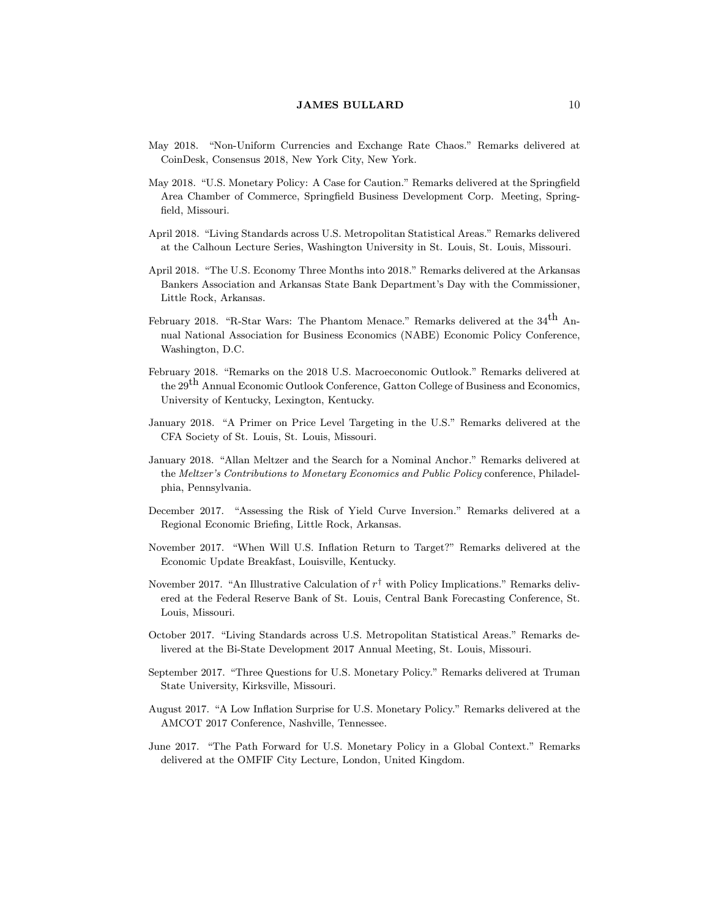- May 2018. "Non-Uniform Currencies and Exchange Rate Chaos." Remarks delivered at CoinDesk, Consensus 2018, New York City, New York.
- May 2018. "U.S. Monetary Policy: A Case for Caution." Remarks delivered at the Springfield Area Chamber of Commerce, Springfield Business Development Corp. Meeting, Springfield, Missouri.
- April 2018. "Living Standards across U.S. Metropolitan Statistical Areas." Remarks delivered at the Calhoun Lecture Series, Washington University in St. Louis, St. Louis, Missouri.
- April 2018. "The U.S. Economy Three Months into 2018." Remarks delivered at the Arkansas Bankers Association and Arkansas State Bank Department's Day with the Commissioner, Little Rock, Arkansas.
- February 2018. "R-Star Wars: The Phantom Menace." Remarks delivered at the  $34<sup>th</sup>$  Annual National Association for Business Economics (NABE) Economic Policy Conference, Washington, D.C.
- February 2018. "Remarks on the 2018 U.S. Macroeconomic Outlook." Remarks delivered at the 29<sup>th</sup> Annual Economic Outlook Conference, Gatton College of Business and Economics, University of Kentucky, Lexington, Kentucky.
- January 2018. "A Primer on Price Level Targeting in the U.S." Remarks delivered at the CFA Society of St. Louis, St. Louis, Missouri.
- January 2018. "Allan Meltzer and the Search for a Nominal Anchor." Remarks delivered at the Meltzer's Contributions to Monetary Economics and Public Policy conference, Philadelphia, Pennsylvania.
- December 2017. "Assessing the Risk of Yield Curve Inversion." Remarks delivered at a Regional Economic Brieng, Little Rock, Arkansas.
- November 2017. "When Will U.S. Inflation Return to Target?" Remarks delivered at the Economic Update Breakfast, Louisville, Kentucky.
- November 2017. "An Illustrative Calculation of  $r^{\dagger}$  with Policy Implications." Remarks delivered at the Federal Reserve Bank of St. Louis, Central Bank Forecasting Conference, St. Louis, Missouri.
- October 2017. "Living Standards across U.S. Metropolitan Statistical Areas." Remarks delivered at the Bi-State Development 2017 Annual Meeting, St. Louis, Missouri.
- September 2017. "Three Questions for U.S. Monetary Policy." Remarks delivered at Truman State University, Kirksville, Missouri.
- August 2017. "A Low Inflation Surprise for U.S. Monetary Policy." Remarks delivered at the AMCOT 2017 Conference, Nashville, Tennessee.
- June 2017. "The Path Forward for U.S. Monetary Policy in a Global Context." Remarks delivered at the OMFIF City Lecture, London, United Kingdom.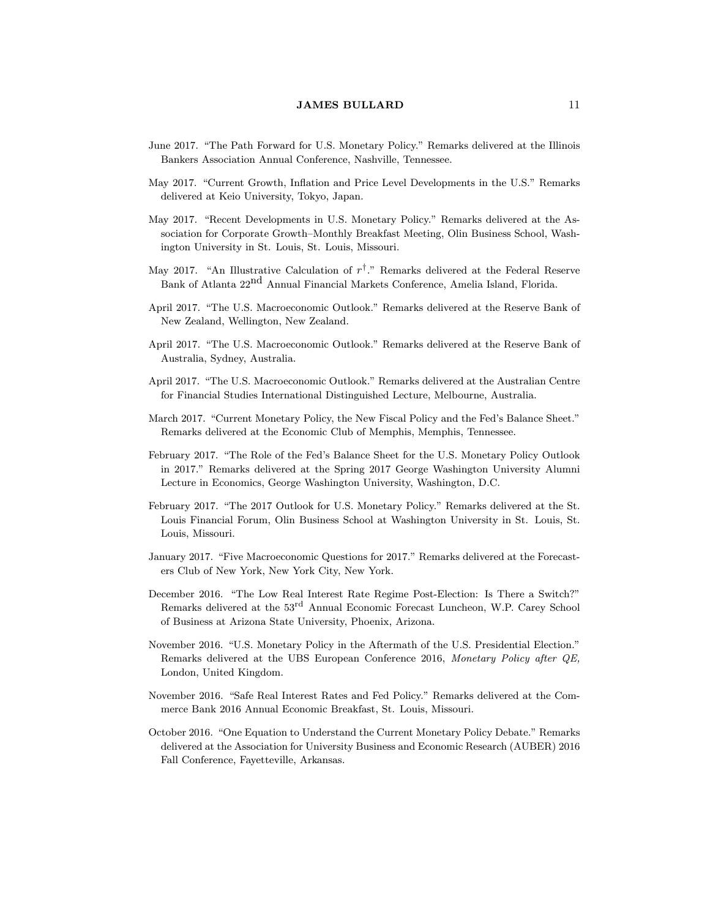- June 2017. "The Path Forward for U.S. Monetary Policy." Remarks delivered at the Illinois Bankers Association Annual Conference, Nashville, Tennessee.
- May 2017. "Current Growth, Inflation and Price Level Developments in the U.S." Remarks delivered at Keio University, Tokyo, Japan.
- May 2017. "Recent Developments in U.S. Monetary Policy." Remarks delivered at the Association for Corporate Growth-Monthly Breakfast Meeting, Olin Business School, Washington University in St. Louis, St. Louis, Missouri.
- May 2017. "An Illustrative Calculation of  $r^{\dagger}$ ." Remarks delivered at the Federal Reserve Bank of Atlanta 22nd Annual Financial Markets Conference, Amelia Island, Florida.
- April 2017. "The U.S. Macroeconomic Outlook." Remarks delivered at the Reserve Bank of New Zealand, Wellington, New Zealand.
- April 2017. "The U.S. Macroeconomic Outlook." Remarks delivered at the Reserve Bank of Australia, Sydney, Australia.
- April 2017. "The U.S. Macroeconomic Outlook." Remarks delivered at the Australian Centre for Financial Studies International Distinguished Lecture, Melbourne, Australia.
- March 2017. "Current Monetary Policy, the New Fiscal Policy and the Fed's Balance Sheet." Remarks delivered at the Economic Club of Memphis, Memphis, Tennessee.
- February 2017. "The Role of the Fed's Balance Sheet for the U.S. Monetary Policy Outlook in 2017." Remarks delivered at the Spring 2017 George Washington University Alumni Lecture in Economics, George Washington University, Washington, D.C.
- February 2017. "The 2017 Outlook for U.S. Monetary Policy." Remarks delivered at the St. Louis Financial Forum, Olin Business School at Washington University in St. Louis, St. Louis, Missouri.
- January 2017. "Five Macroeconomic Questions for 2017." Remarks delivered at the Forecasters Club of New York, New York City, New York.
- December 2016. "The Low Real Interest Rate Regime Post-Election: Is There a Switch?" Remarks delivered at the  $53^{\text{rd}}$  Annual Economic Forecast Luncheon, W.P. Carey School of Business at Arizona State University, Phoenix, Arizona.
- November 2016. "U.S. Monetary Policy in the Aftermath of the U.S. Presidential Election." Remarks delivered at the UBS European Conference 2016, Monetary Policy after QE, London, United Kingdom.
- November 2016. "Safe Real Interest Rates and Fed Policy." Remarks delivered at the Commerce Bank 2016 Annual Economic Breakfast, St. Louis, Missouri.
- October 2016. "One Equation to Understand the Current Monetary Policy Debate." Remarks delivered at the Association for University Business and Economic Research (AUBER) 2016 Fall Conference, Fayetteville, Arkansas.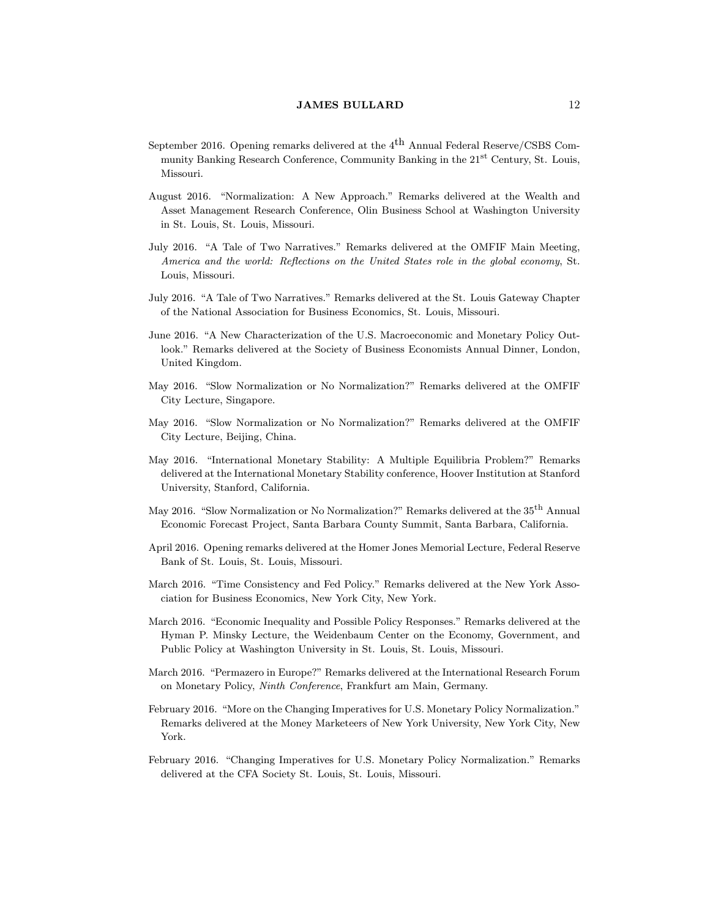- September 2016. Opening remarks delivered at the  $4^{\text{th}}$  Annual Federal Reserve/CSBS Community Banking Research Conference, Community Banking in the 21st Century, St. Louis, Missouri.
- August 2016. "Normalization: A New Approach." Remarks delivered at the Wealth and Asset Management Research Conference, Olin Business School at Washington University in St. Louis, St. Louis, Missouri.
- July 2016. "A Tale of Two Narratives." Remarks delivered at the OMFIF Main Meeting, America and the world: Reflections on the United States role in the global economy, St. Louis, Missouri.
- July 2016. "A Tale of Two Narratives." Remarks delivered at the St. Louis Gateway Chapter of the National Association for Business Economics, St. Louis, Missouri.
- June 2016. "A New Characterization of the U.S. Macroeconomic and Monetary Policy Outlook." Remarks delivered at the Society of Business Economists Annual Dinner, London, United Kingdom.
- May 2016. "Slow Normalization or No Normalization?" Remarks delivered at the OMFIF City Lecture, Singapore.
- May 2016. "Slow Normalization or No Normalization?" Remarks delivered at the OMFIF City Lecture, Beijing, China.
- May 2016. "International Monetary Stability: A Multiple Equilibria Problem?" Remarks delivered at the International Monetary Stability conference, Hoover Institution at Stanford University, Stanford, California.
- May 2016. "Slow Normalization or No Normalization?" Remarks delivered at the 35<sup>th</sup> Annual Economic Forecast Project, Santa Barbara County Summit, Santa Barbara, California.
- April 2016. Opening remarks delivered at the Homer Jones Memorial Lecture, Federal Reserve Bank of St. Louis, St. Louis, Missouri.
- March 2016. "Time Consistency and Fed Policy." Remarks delivered at the New York Association for Business Economics, New York City, New York.
- March 2016. "Economic Inequality and Possible Policy Responses." Remarks delivered at the Hyman P. Minsky Lecture, the Weidenbaum Center on the Economy, Government, and Public Policy at Washington University in St. Louis, St. Louis, Missouri.
- March 2016. "Permazero in Europe?" Remarks delivered at the International Research Forum on Monetary Policy, Ninth Conference, Frankfurt am Main, Germany.
- February 2016. "More on the Changing Imperatives for U.S. Monetary Policy Normalization." Remarks delivered at the Money Marketeers of New York University, New York City, New York.
- February 2016. "Changing Imperatives for U.S. Monetary Policy Normalization." Remarks delivered at the CFA Society St. Louis, St. Louis, Missouri.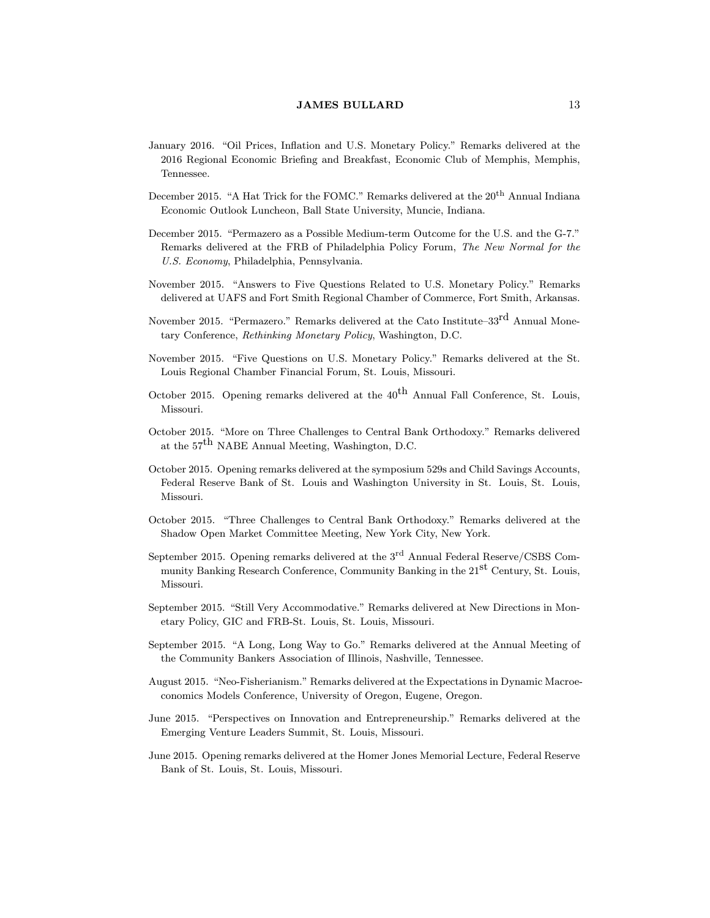- January 2016. "Oil Prices, Inflation and U.S. Monetary Policy." Remarks delivered at the 2016 Regional Economic Briefing and Breakfast, Economic Club of Memphis, Memphis, Tennessee.
- December 2015. "A Hat Trick for the FOMC." Remarks delivered at the  $20<sup>th</sup>$  Annual Indiana Economic Outlook Luncheon, Ball State University, Muncie, Indiana.
- December 2015. "Permazero as a Possible Medium-term Outcome for the U.S. and the G-7." Remarks delivered at the FRB of Philadelphia Policy Forum, The New Normal for the U.S. Economy, Philadelphia, Pennsylvania.
- November 2015. "Answers to Five Questions Related to U.S. Monetary Policy." Remarks delivered at UAFS and Fort Smith Regional Chamber of Commerce, Fort Smith, Arkansas.
- November 2015. "Permazero." Remarks delivered at the Cato Institute–33<sup>rd</sup> Annual Monetary Conference, Rethinking Monetary Policy, Washington, D.C.
- November 2015. "Five Questions on U.S. Monetary Policy." Remarks delivered at the St. Louis Regional Chamber Financial Forum, St. Louis, Missouri.
- October 2015. Opening remarks delivered at the  $40<sup>th</sup>$  Annual Fall Conference, St. Louis, Missouri.
- October 2015. "More on Three Challenges to Central Bank Orthodoxy." Remarks delivered at the 57th NABE Annual Meeting, Washington, D.C.
- October 2015. Opening remarks delivered at the symposium 529s and Child Savings Accounts, Federal Reserve Bank of St. Louis and Washington University in St. Louis, St. Louis, Missouri.
- October 2015. "Three Challenges to Central Bank Orthodoxy." Remarks delivered at the Shadow Open Market Committee Meeting, New York City, New York.
- September 2015. Opening remarks delivered at the  $3<sup>rd</sup>$  Annual Federal Reserve/CSBS Community Banking Research Conference, Community Banking in the 21<sup>st</sup> Century, St. Louis, Missouri.
- September 2015. "Still Very Accommodative." Remarks delivered at New Directions in Monetary Policy, GIC and FRB-St. Louis, St. Louis, Missouri.
- September 2015. "A Long, Long Way to Go." Remarks delivered at the Annual Meeting of the Community Bankers Association of Illinois, Nashville, Tennessee.
- August 2015. "Neo-Fisherianism." Remarks delivered at the Expectations in Dynamic Macroeconomics Models Conference, University of Oregon, Eugene, Oregon.
- June 2015. "Perspectives on Innovation and Entrepreneurship." Remarks delivered at the Emerging Venture Leaders Summit, St. Louis, Missouri.
- June 2015. Opening remarks delivered at the Homer Jones Memorial Lecture, Federal Reserve Bank of St. Louis, St. Louis, Missouri.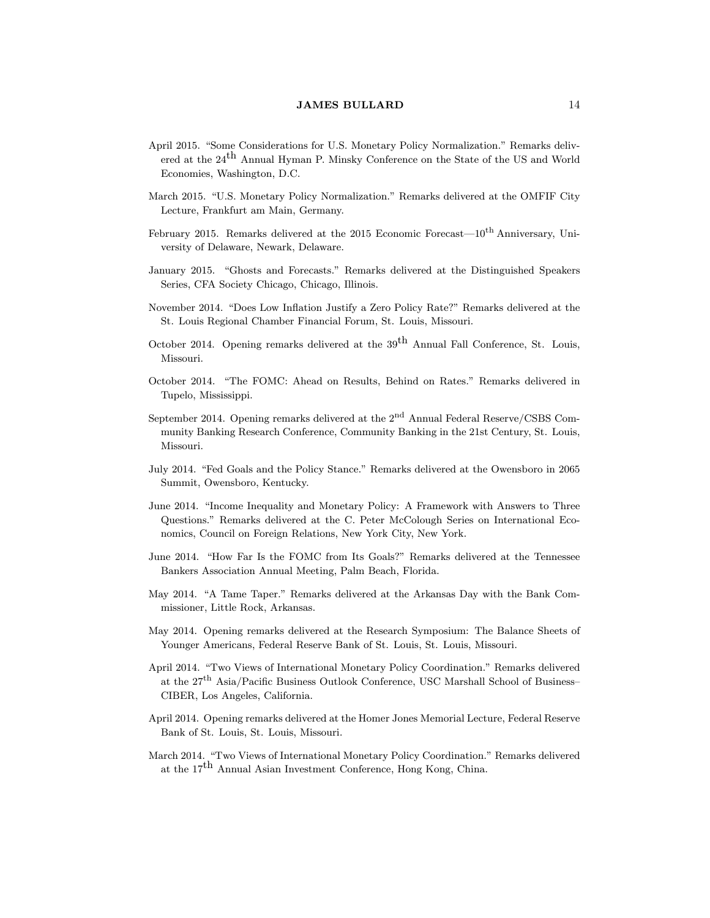- April 2015. "Some Considerations for U.S. Monetary Policy Normalization." Remarks delivered at the  $24<sup>th</sup>$  Annual Hyman P. Minsky Conference on the State of the US and World Economies, Washington, D.C.
- March 2015. "U.S. Monetary Policy Normalization." Remarks delivered at the OMFIF City Lecture, Frankfurt am Main, Germany.
- February 2015. Remarks delivered at the 2015 Economic Forecast— $10^{th}$  Anniversary, University of Delaware, Newark, Delaware.
- January 2015. "Ghosts and Forecasts." Remarks delivered at the Distinguished Speakers Series, CFA Society Chicago, Chicago, Illinois.
- November 2014. "Does Low Inflation Justify a Zero Policy Rate?" Remarks delivered at the St. Louis Regional Chamber Financial Forum, St. Louis, Missouri.
- October 2014. Opening remarks delivered at the  $39<sup>th</sup>$  Annual Fall Conference, St. Louis, Missouri.
- October 2014. "The FOMC: Ahead on Results, Behind on Rates." Remarks delivered in Tupelo, Mississippi.
- September 2014. Opening remarks delivered at the  $2<sup>nd</sup>$  Annual Federal Reserve/CSBS Community Banking Research Conference, Community Banking in the 21st Century, St. Louis, Missouri.
- July 2014. "Fed Goals and the Policy Stance." Remarks delivered at the Owensboro in 2065 Summit, Owensboro, Kentucky.
- June 2014. "Income Inequality and Monetary Policy: A Framework with Answers to Three Questions." Remarks delivered at the C. Peter McColough Series on International Economics, Council on Foreign Relations, New York City, New York.
- June 2014. "How Far Is the FOMC from Its Goals?" Remarks delivered at the Tennessee Bankers Association Annual Meeting, Palm Beach, Florida.
- May 2014. "A Tame Taper." Remarks delivered at the Arkansas Day with the Bank Commissioner, Little Rock, Arkansas.
- May 2014. Opening remarks delivered at the Research Symposium: The Balance Sheets of Younger Americans, Federal Reserve Bank of St. Louis, St. Louis, Missouri.
- April 2014. \Two Views of International Monetary Policy Coordination." Remarks delivered at the 27<sup>th</sup> Asia/Pacific Business Outlook Conference, USC Marshall School of Business-CIBER, Los Angeles, California.
- April 2014. Opening remarks delivered at the Homer Jones Memorial Lecture, Federal Reserve Bank of St. Louis, St. Louis, Missouri.
- March 2014. "Two Views of International Monetary Policy Coordination." Remarks delivered at the 17<sup>th</sup> Annual Asian Investment Conference, Hong Kong, China.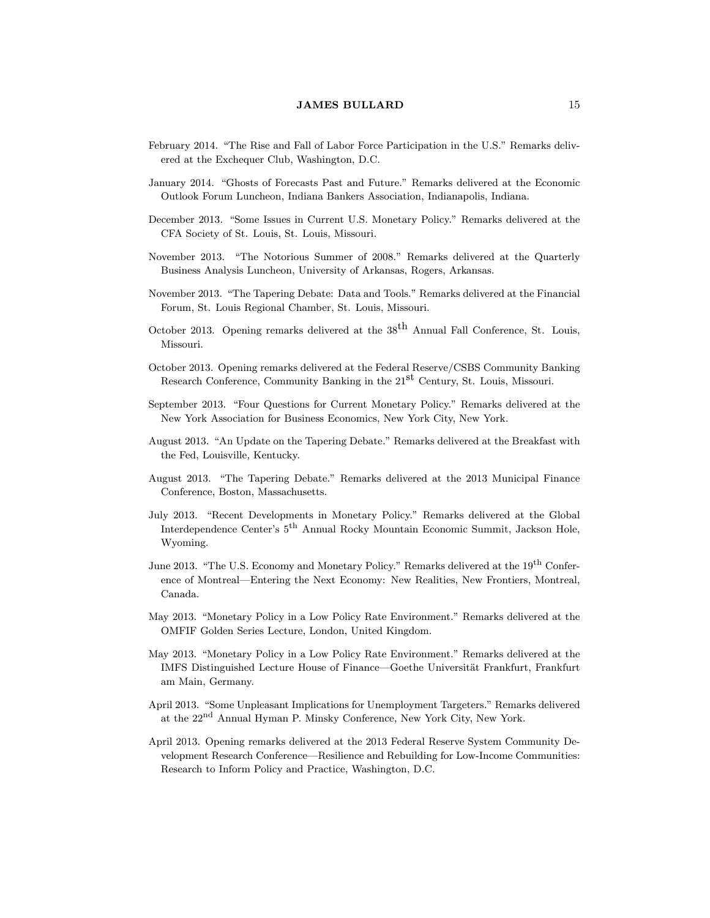- February 2014. "The Rise and Fall of Labor Force Participation in the U.S." Remarks delivered at the Exchequer Club, Washington, D.C.
- January 2014. "Ghosts of Forecasts Past and Future." Remarks delivered at the Economic Outlook Forum Luncheon, Indiana Bankers Association, Indianapolis, Indiana.
- December 2013. "Some Issues in Current U.S. Monetary Policy." Remarks delivered at the CFA Society of St. Louis, St. Louis, Missouri.
- November 2013. "The Notorious Summer of 2008." Remarks delivered at the Quarterly Business Analysis Luncheon, University of Arkansas, Rogers, Arkansas.
- November 2013. "The Tapering Debate: Data and Tools." Remarks delivered at the Financial Forum, St. Louis Regional Chamber, St. Louis, Missouri.
- October 2013. Opening remarks delivered at the  $38<sup>th</sup>$  Annual Fall Conference, St. Louis, Missouri.
- October 2013. Opening remarks delivered at the Federal Reserve/CSBS Community Banking Research Conference, Community Banking in the 21<sup>st</sup> Century, St. Louis, Missouri.
- September 2013. "Four Questions for Current Monetary Policy." Remarks delivered at the New York Association for Business Economics, New York City, New York.
- August 2013. "An Update on the Tapering Debate." Remarks delivered at the Breakfast with the Fed, Louisville, Kentucky.
- August 2013. "The Tapering Debate." Remarks delivered at the 2013 Municipal Finance Conference, Boston, Massachusetts.
- July 2013. "Recent Developments in Monetary Policy." Remarks delivered at the Global Interdependence Center's 5th Annual Rocky Mountain Economic Summit, Jackson Hole, Wyoming.
- June 2013. "The U.S. Economy and Monetary Policy." Remarks delivered at the 19<sup>th</sup> Conference of Montreal—Entering the Next Economy: New Realities, New Frontiers, Montreal, Canada.
- May 2013. "Monetary Policy in a Low Policy Rate Environment." Remarks delivered at the OMFIF Golden Series Lecture, London, United Kingdom.
- May 2013. "Monetary Policy in a Low Policy Rate Environment." Remarks delivered at the IMFS Distinguished Lecture House of Finance—Goethe Universität Frankfurt, Frankfurt am Main, Germany.
- April 2013. "Some Unpleasant Implications for Unemployment Targeters." Remarks delivered at the 22<sup>nd</sup> Annual Hyman P. Minsky Conference, New York City, New York.
- April 2013. Opening remarks delivered at the 2013 Federal Reserve System Community Development Research Conference—Resilience and Rebuilding for Low-Income Communities: Research to Inform Policy and Practice, Washington, D.C.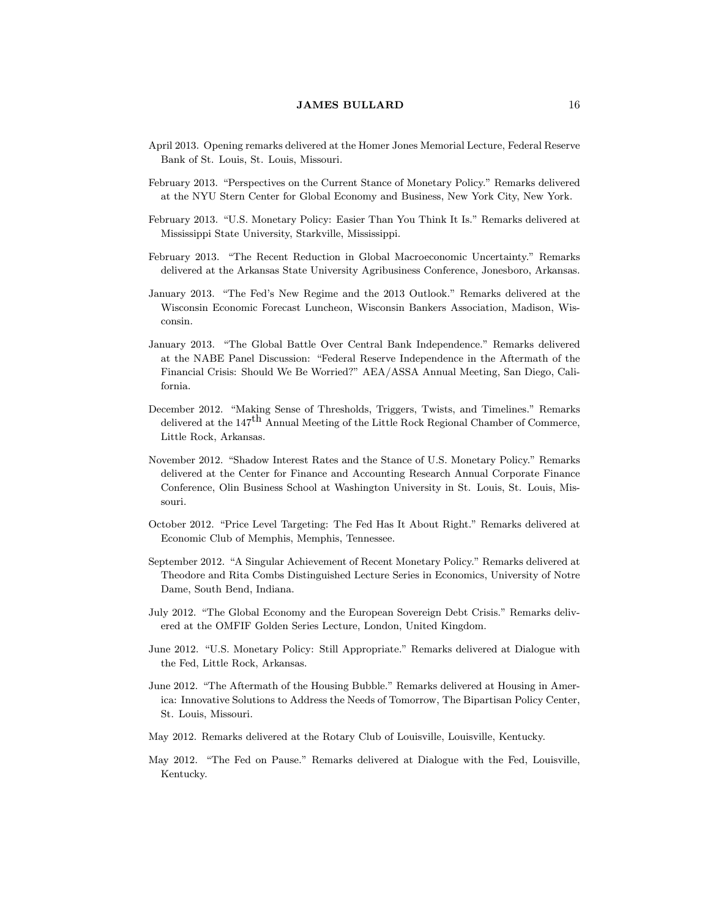- April 2013. Opening remarks delivered at the Homer Jones Memorial Lecture, Federal Reserve Bank of St. Louis, St. Louis, Missouri.
- February 2013. "Perspectives on the Current Stance of Monetary Policy." Remarks delivered at the NYU Stern Center for Global Economy and Business, New York City, New York.
- February 2013. "U.S. Monetary Policy: Easier Than You Think It Is." Remarks delivered at Mississippi State University, Starkville, Mississippi.
- February 2013. "The Recent Reduction in Global Macroeconomic Uncertainty." Remarks delivered at the Arkansas State University Agribusiness Conference, Jonesboro, Arkansas.
- January 2013. "The Fed's New Regime and the 2013 Outlook." Remarks delivered at the Wisconsin Economic Forecast Luncheon, Wisconsin Bankers Association, Madison, Wisconsin.
- January 2013. "The Global Battle Over Central Bank Independence." Remarks delivered at the NABE Panel Discussion: \Federal Reserve Independence in the Aftermath of the Financial Crisis: Should We Be Worried?" AEA/ASSA Annual Meeting, San Diego, California.
- December 2012. "Making Sense of Thresholds, Triggers, Twists, and Timelines." Remarks delivered at the  $147^{\text{th}}$  Annual Meeting of the Little Rock Regional Chamber of Commerce, Little Rock, Arkansas.
- November 2012. "Shadow Interest Rates and the Stance of U.S. Monetary Policy." Remarks delivered at the Center for Finance and Accounting Research Annual Corporate Finance Conference, Olin Business School at Washington University in St. Louis, St. Louis, Missouri.
- October 2012. "Price Level Targeting: The Fed Has It About Right." Remarks delivered at Economic Club of Memphis, Memphis, Tennessee.
- September 2012. "A Singular Achievement of Recent Monetary Policy." Remarks delivered at Theodore and Rita Combs Distinguished Lecture Series in Economics, University of Notre Dame, South Bend, Indiana.
- July 2012. "The Global Economy and the European Sovereign Debt Crisis." Remarks delivered at the OMFIF Golden Series Lecture, London, United Kingdom.
- June 2012. "U.S. Monetary Policy: Still Appropriate." Remarks delivered at Dialogue with the Fed, Little Rock, Arkansas.
- June 2012. "The Aftermath of the Housing Bubble." Remarks delivered at Housing in America: Innovative Solutions to Address the Needs of Tomorrow, The Bipartisan Policy Center, St. Louis, Missouri.
- May 2012. Remarks delivered at the Rotary Club of Louisville, Louisville, Kentucky.
- May 2012. "The Fed on Pause." Remarks delivered at Dialogue with the Fed, Louisville, Kentucky.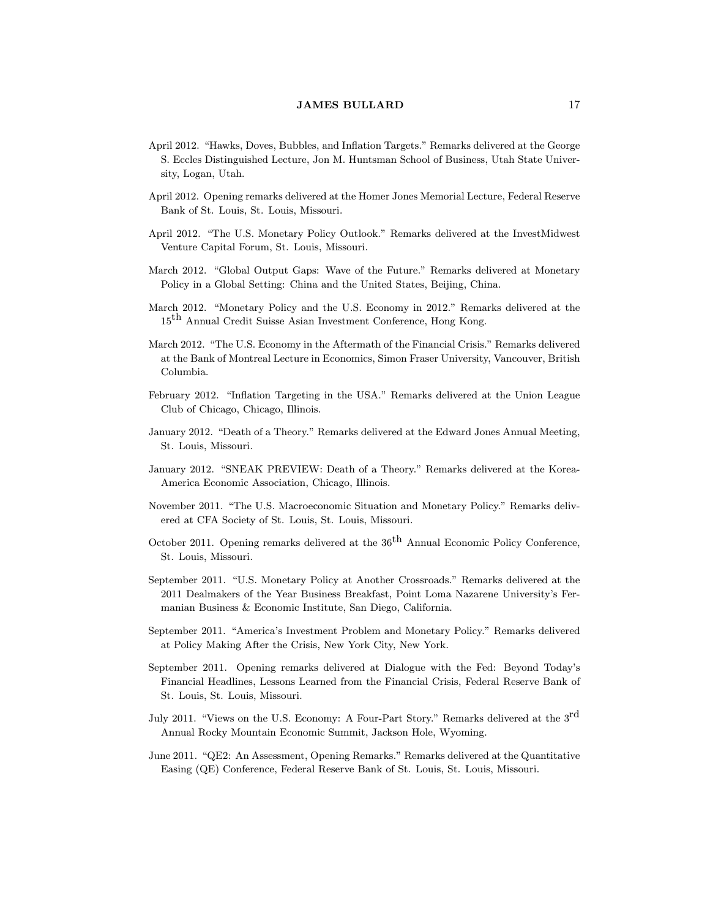- April 2012. "Hawks, Doves, Bubbles, and Inflation Targets." Remarks delivered at the George S. Eccles Distinguished Lecture, Jon M. Huntsman School of Business, Utah State University, Logan, Utah.
- April 2012. Opening remarks delivered at the Homer Jones Memorial Lecture, Federal Reserve Bank of St. Louis, St. Louis, Missouri.
- April 2012. "The U.S. Monetary Policy Outlook." Remarks delivered at the InvestMidwest Venture Capital Forum, St. Louis, Missouri.
- March 2012. "Global Output Gaps: Wave of the Future." Remarks delivered at Monetary Policy in a Global Setting: China and the United States, Beijing, China.
- March 2012. "Monetary Policy and the U.S. Economy in 2012." Remarks delivered at the 15th Annual Credit Suisse Asian Investment Conference, Hong Kong.
- March 2012. "The U.S. Economy in the Aftermath of the Financial Crisis." Remarks delivered at the Bank of Montreal Lecture in Economics, Simon Fraser University, Vancouver, British Columbia.
- February 2012. "Inflation Targeting in the USA." Remarks delivered at the Union League Club of Chicago, Chicago, Illinois.
- January 2012. "Death of a Theory." Remarks delivered at the Edward Jones Annual Meeting, St. Louis, Missouri.
- January 2012. "SNEAK PREVIEW: Death of a Theory." Remarks delivered at the Korea-America Economic Association, Chicago, Illinois.
- November 2011. "The U.S. Macroeconomic Situation and Monetary Policy." Remarks delivered at CFA Society of St. Louis, St. Louis, Missouri.
- October 2011. Opening remarks delivered at the  $36<sup>th</sup>$  Annual Economic Policy Conference, St. Louis, Missouri.
- September 2011. "U.S. Monetary Policy at Another Crossroads." Remarks delivered at the 2011 Dealmakers of the Year Business Breakfast, Point Loma Nazarene University's Fermanian Business & Economic Institute, San Diego, California.
- September 2011. "America's Investment Problem and Monetary Policy." Remarks delivered at Policy Making After the Crisis, New York City, New York.
- September 2011. Opening remarks delivered at Dialogue with the Fed: Beyond Today's Financial Headlines, Lessons Learned from the Financial Crisis, Federal Reserve Bank of St. Louis, St. Louis, Missouri.
- July 2011. "Views on the U.S. Economy: A Four-Part Story." Remarks delivered at the  $3^{\text{rd}}$ Annual Rocky Mountain Economic Summit, Jackson Hole, Wyoming.
- June 2011. "QE2: An Assessment, Opening Remarks." Remarks delivered at the Quantitative Easing (QE) Conference, Federal Reserve Bank of St. Louis, St. Louis, Missouri.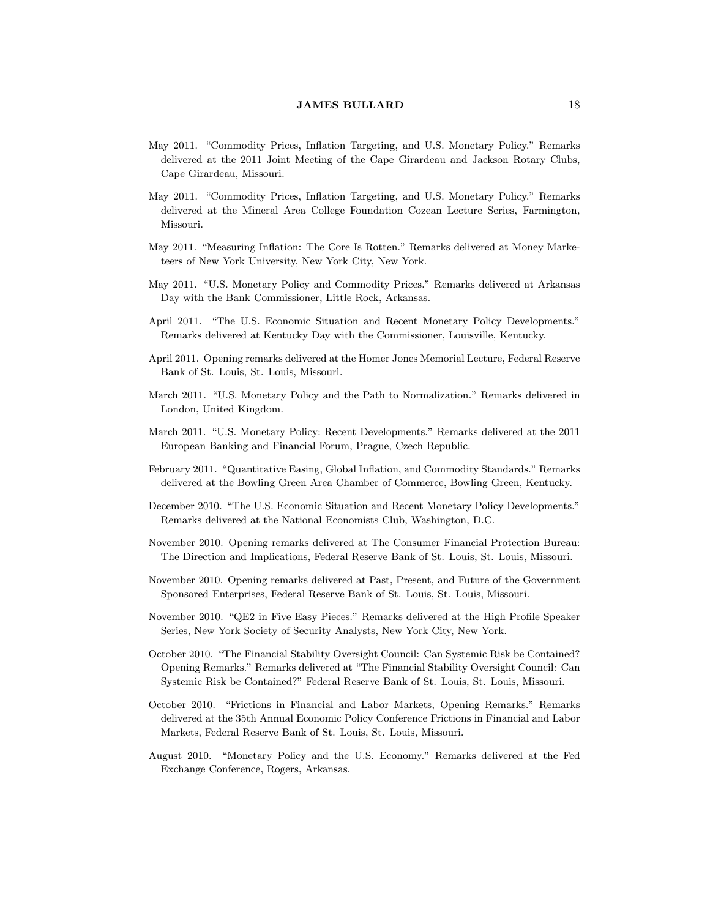- May 2011. "Commodity Prices, Inflation Targeting, and U.S. Monetary Policy." Remarks delivered at the 2011 Joint Meeting of the Cape Girardeau and Jackson Rotary Clubs, Cape Girardeau, Missouri.
- May 2011. "Commodity Prices, Inflation Targeting, and U.S. Monetary Policy." Remarks delivered at the Mineral Area College Foundation Cozean Lecture Series, Farmington, Missouri.
- May 2011. "Measuring Inflation: The Core Is Rotten." Remarks delivered at Money Marketeers of New York University, New York City, New York.
- May 2011. "U.S. Monetary Policy and Commodity Prices." Remarks delivered at Arkansas Day with the Bank Commissioner, Little Rock, Arkansas.
- April 2011. "The U.S. Economic Situation and Recent Monetary Policy Developments." Remarks delivered at Kentucky Day with the Commissioner, Louisville, Kentucky.
- April 2011. Opening remarks delivered at the Homer Jones Memorial Lecture, Federal Reserve Bank of St. Louis, St. Louis, Missouri.
- March 2011. "U.S. Monetary Policy and the Path to Normalization." Remarks delivered in London, United Kingdom.
- March 2011. "U.S. Monetary Policy: Recent Developments." Remarks delivered at the 2011 European Banking and Financial Forum, Prague, Czech Republic.
- February 2011. "Quantitative Easing, Global Inflation, and Commodity Standards." Remarks delivered at the Bowling Green Area Chamber of Commerce, Bowling Green, Kentucky.
- December 2010. "The U.S. Economic Situation and Recent Monetary Policy Developments." Remarks delivered at the National Economists Club, Washington, D.C.
- November 2010. Opening remarks delivered at The Consumer Financial Protection Bureau: The Direction and Implications, Federal Reserve Bank of St. Louis, St. Louis, Missouri.
- November 2010. Opening remarks delivered at Past, Present, and Future of the Government Sponsored Enterprises, Federal Reserve Bank of St. Louis, St. Louis, Missouri.
- November 2010. "QE2 in Five Easy Pieces." Remarks delivered at the High Profile Speaker Series, New York Society of Security Analysts, New York City, New York.
- October 2010. "The Financial Stability Oversight Council: Can Systemic Risk be Contained? Opening Remarks." Remarks delivered at \The Financial Stability Oversight Council: Can Systemic Risk be Contained?" Federal Reserve Bank of St. Louis, St. Louis, Missouri.
- October 2010. "Frictions in Financial and Labor Markets, Opening Remarks." Remarks delivered at the 35th Annual Economic Policy Conference Frictions in Financial and Labor Markets, Federal Reserve Bank of St. Louis, St. Louis, Missouri.
- August 2010. "Monetary Policy and the U.S. Economy." Remarks delivered at the Fed Exchange Conference, Rogers, Arkansas.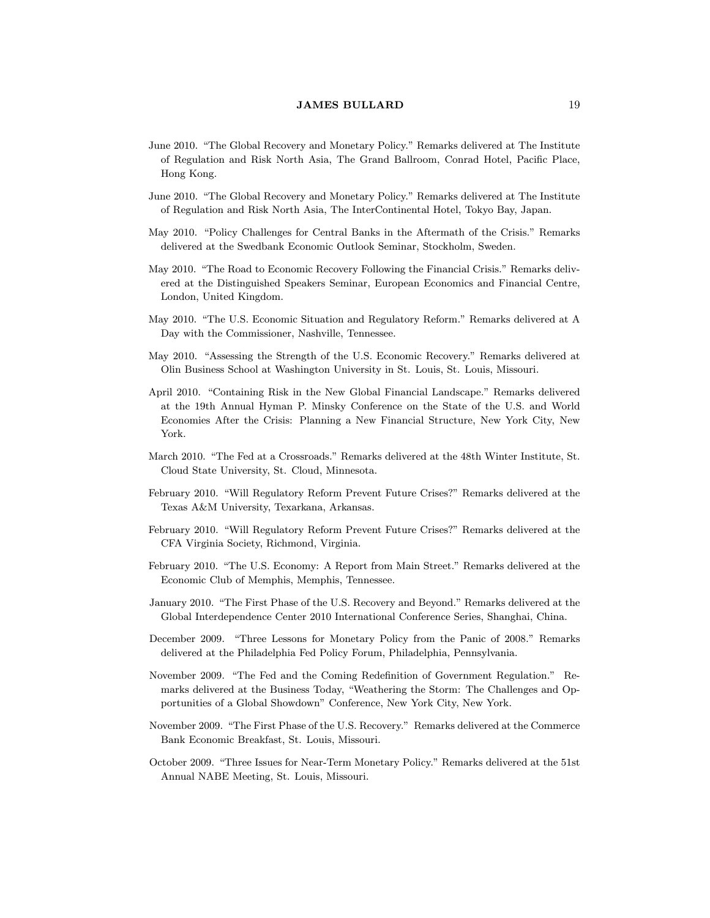- June 2010. "The Global Recovery and Monetary Policy." Remarks delivered at The Institute of Regulation and Risk North Asia, The Grand Ballroom, Conrad Hotel, Pacific Place, Hong Kong.
- June 2010. "The Global Recovery and Monetary Policy." Remarks delivered at The Institute of Regulation and Risk North Asia, The InterContinental Hotel, Tokyo Bay, Japan.
- May 2010. "Policy Challenges for Central Banks in the Aftermath of the Crisis." Remarks delivered at the Swedbank Economic Outlook Seminar, Stockholm, Sweden.
- May 2010. "The Road to Economic Recovery Following the Financial Crisis." Remarks delivered at the Distinguished Speakers Seminar, European Economics and Financial Centre, London, United Kingdom.
- May 2010. "The U.S. Economic Situation and Regulatory Reform." Remarks delivered at A Day with the Commissioner, Nashville, Tennessee.
- May 2010. "Assessing the Strength of the U.S. Economic Recovery." Remarks delivered at Olin Business School at Washington University in St. Louis, St. Louis, Missouri.
- April 2010. "Containing Risk in the New Global Financial Landscape." Remarks delivered at the 19th Annual Hyman P. Minsky Conference on the State of the U.S. and World Economies After the Crisis: Planning a New Financial Structure, New York City, New York.
- March 2010. "The Fed at a Crossroads." Remarks delivered at the 48th Winter Institute, St. Cloud State University, St. Cloud, Minnesota.
- February 2010. "Will Regulatory Reform Prevent Future Crises?" Remarks delivered at the Texas A&M University, Texarkana, Arkansas.
- February 2010. "Will Regulatory Reform Prevent Future Crises?" Remarks delivered at the CFA Virginia Society, Richmond, Virginia.
- February 2010. "The U.S. Economy: A Report from Main Street." Remarks delivered at the Economic Club of Memphis, Memphis, Tennessee.
- January 2010. "The First Phase of the U.S. Recovery and Beyond." Remarks delivered at the Global Interdependence Center 2010 International Conference Series, Shanghai, China.
- December 2009. "Three Lessons for Monetary Policy from the Panic of 2008." Remarks delivered at the Philadelphia Fed Policy Forum, Philadelphia, Pennsylvania.
- November 2009. "The Fed and the Coming Redefinition of Government Regulation." Remarks delivered at the Business Today, "Weathering the Storm: The Challenges and Opportunities of a Global Showdown" Conference, New York City, New York.
- November 2009. "The First Phase of the U.S. Recovery." Remarks delivered at the Commerce Bank Economic Breakfast, St. Louis, Missouri.
- October 2009. "Three Issues for Near-Term Monetary Policy." Remarks delivered at the 51st Annual NABE Meeting, St. Louis, Missouri.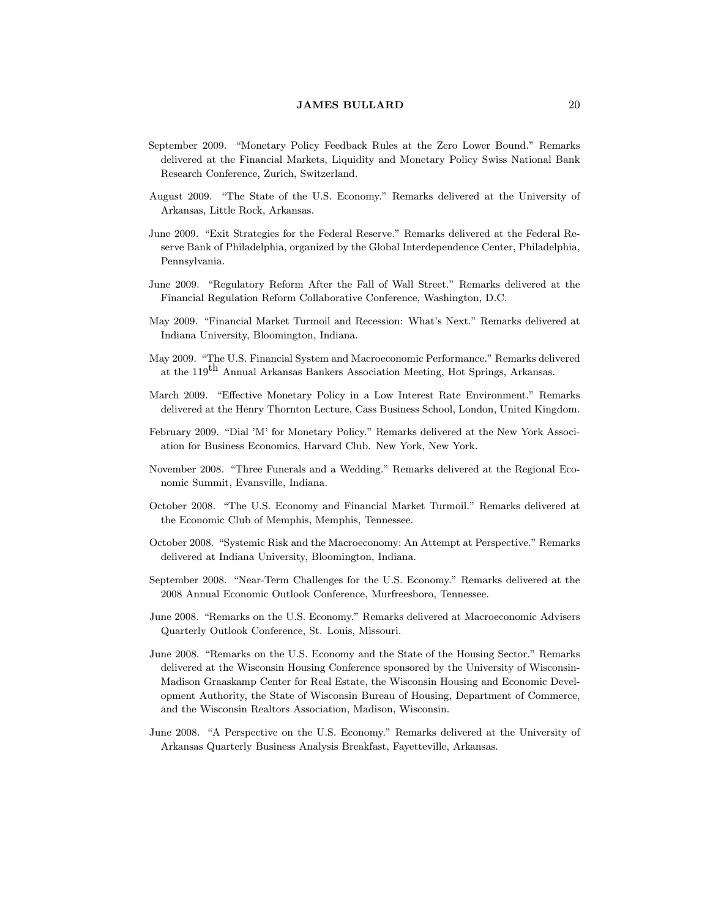- September 2009. "Monetary Policy Feedback Rules at the Zero Lower Bound." Remarks delivered at the Financial Markets, Liquidity and Monetary Policy Swiss National Bank Research Conference, Zurich, Switzerland.
- August 2009. "The State of the U.S. Economy." Remarks delivered at the University of Arkansas, Little Rock, Arkansas.
- June 2009. "Exit Strategies for the Federal Reserve." Remarks delivered at the Federal Reserve Bank of Philadelphia, organized by the Global Interdependence Center, Philadelphia, Pennsylvania.
- June 2009. "Regulatory Reform After the Fall of Wall Street." Remarks delivered at the Financial Regulation Reform Collaborative Conference, Washington, D.C.
- May 2009. "Financial Market Turmoil and Recession: What's Next." Remarks delivered at Indiana University, Bloomington, Indiana.
- May 2009. "The U.S. Financial System and Macroeconomic Performance." Remarks delivered at the 119<sup>th</sup> Annual Arkansas Bankers Association Meeting, Hot Springs, Arkansas.
- March 2009. "Effective Monetary Policy in a Low Interest Rate Environment." Remarks delivered at the Henry Thornton Lecture, Cass Business School, London, United Kingdom.
- February 2009. "Dial 'M' for Monetary Policy." Remarks delivered at the New York Association for Business Economics, Harvard Club. New York, New York.
- November 2008. "Three Funerals and a Wedding." Remarks delivered at the Regional Economic Summit, Evansville, Indiana.
- October 2008. "The U.S. Economy and Financial Market Turmoil." Remarks delivered at the Economic Club of Memphis, Memphis, Tennessee.
- October 2008. "Systemic Risk and the Macroeconomy: An Attempt at Perspective." Remarks delivered at Indiana University, Bloomington, Indiana.
- September 2008. "Near-Term Challenges for the U.S. Economy." Remarks delivered at the 2008 Annual Economic Outlook Conference, Murfreesboro, Tennessee.
- June 2008. "Remarks on the U.S. Economy." Remarks delivered at Macroeconomic Advisers Quarterly Outlook Conference, St. Louis, Missouri.
- June 2008. "Remarks on the U.S. Economy and the State of the Housing Sector." Remarks delivered at the Wisconsin Housing Conference sponsored by the University of Wisconsin-Madison Graaskamp Center for Real Estate, the Wisconsin Housing and Economic Development Authority, the State of Wisconsin Bureau of Housing, Department of Commerce, and the Wisconsin Realtors Association, Madison, Wisconsin.
- June 2008. "A Perspective on the U.S. Economy." Remarks delivered at the University of Arkansas Quarterly Business Analysis Breakfast, Fayetteville, Arkansas.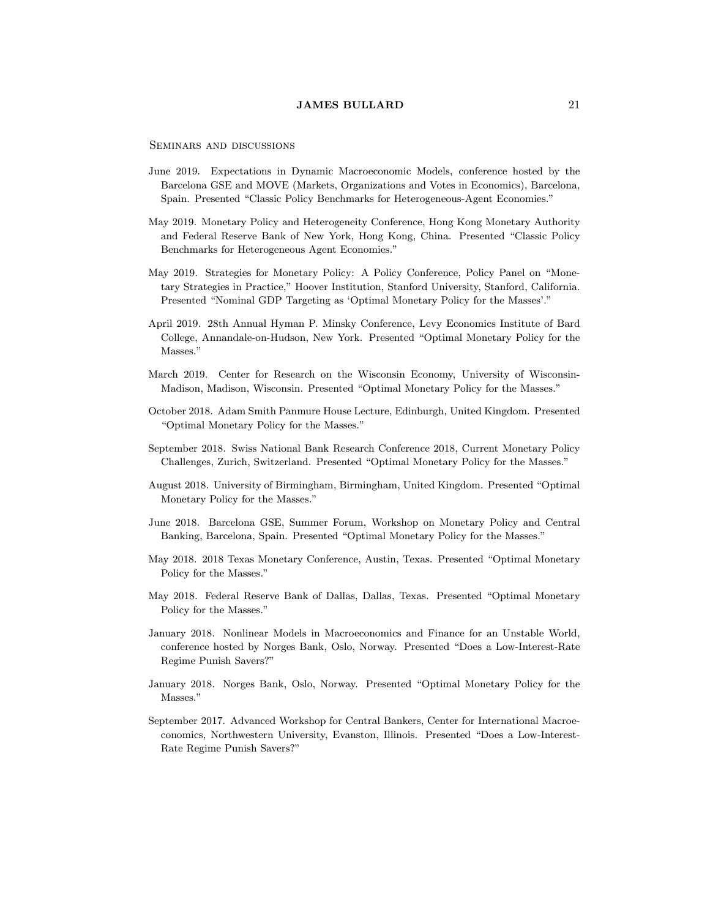Seminars and discussions

- June 2019. Expectations in Dynamic Macroeconomic Models, conference hosted by the Barcelona GSE and MOVE (Markets, Organizations and Votes in Economics), Barcelona, Spain. Presented \Classic Policy Benchmarks for Heterogeneous-Agent Economies."
- May 2019. Monetary Policy and Heterogeneity Conference, Hong Kong Monetary Authority and Federal Reserve Bank of New York, Hong Kong, China. Presented \Classic Policy Benchmarks for Heterogeneous Agent Economies."
- May 2019. Strategies for Monetary Policy: A Policy Conference, Policy Panel on "Monetary Strategies in Practice," Hoover Institution, Stanford University, Stanford, California. Presented "Nominal GDP Targeting as 'Optimal Monetary Policy for the Masses'."
- April 2019. 28th Annual Hyman P. Minsky Conference, Levy Economics Institute of Bard College, Annandale-on-Hudson, New York. Presented "Optimal Monetary Policy for the Masses."
- March 2019. Center for Research on the Wisconsin Economy, University of Wisconsin-Madison, Madison, Wisconsin. Presented "Optimal Monetary Policy for the Masses."
- October 2018. Adam Smith Panmure House Lecture, Edinburgh, United Kingdom. Presented "Optimal Monetary Policy for the Masses."
- September 2018. Swiss National Bank Research Conference 2018, Current Monetary Policy Challenges, Zurich, Switzerland. Presented \Optimal Monetary Policy for the Masses."
- August 2018. University of Birmingham, Birmingham, United Kingdom. Presented \Optimal Monetary Policy for the Masses."
- June 2018. Barcelona GSE, Summer Forum, Workshop on Monetary Policy and Central Banking, Barcelona, Spain. Presented "Optimal Monetary Policy for the Masses."
- May 2018. 2018 Texas Monetary Conference, Austin, Texas. Presented "Optimal Monetary Policy for the Masses."
- May 2018. Federal Reserve Bank of Dallas, Dallas, Texas. Presented "Optimal Monetary Policy for the Masses."
- January 2018. Nonlinear Models in Macroeconomics and Finance for an Unstable World, conference hosted by Norges Bank, Oslo, Norway. Presented "Does a Low-Interest-Rate Regime Punish Savers?"
- January 2018. Norges Bank, Oslo, Norway. Presented "Optimal Monetary Policy for the Masses."
- September 2017. Advanced Workshop for Central Bankers, Center for International Macroeconomics, Northwestern University, Evanston, Illinois. Presented "Does a Low-Interest-Rate Regime Punish Savers?"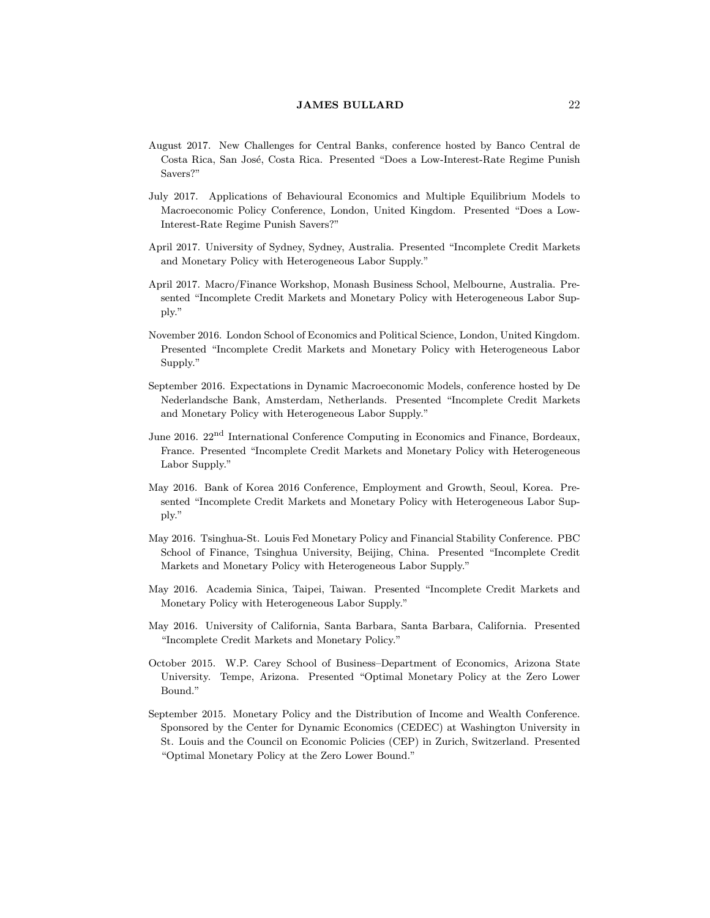- August 2017. New Challenges for Central Banks, conference hosted by Banco Central de Costa Rica, San Jose, Costa Rica. Presented \Does a Low-Interest-Rate Regime Punish Savers?"
- July 2017. Applications of Behavioural Economics and Multiple Equilibrium Models to Macroeconomic Policy Conference, London, United Kingdom. Presented "Does a Low-Interest-Rate Regime Punish Savers?"
- April 2017. University of Sydney, Sydney, Australia. Presented \Incomplete Credit Markets and Monetary Policy with Heterogeneous Labor Supply."
- April 2017. Macro/Finance Workshop, Monash Business School, Melbourne, Australia. Presented "Incomplete Credit Markets and Monetary Policy with Heterogeneous Labor Supply."
- November 2016. London School of Economics and Political Science, London, United Kingdom. Presented "Incomplete Credit Markets and Monetary Policy with Heterogeneous Labor Supply."
- September 2016. Expectations in Dynamic Macroeconomic Models, conference hosted by De Nederlandsche Bank, Amsterdam, Netherlands. Presented \Incomplete Credit Markets and Monetary Policy with Heterogeneous Labor Supply."
- June 2016. 22<sup>nd</sup> International Conference Computing in Economics and Finance, Bordeaux, France. Presented "Incomplete Credit Markets and Monetary Policy with Heterogeneous Labor Supply."
- May 2016. Bank of Korea 2016 Conference, Employment and Growth, Seoul, Korea. Presented "Incomplete Credit Markets and Monetary Policy with Heterogeneous Labor Supply."
- May 2016. Tsinghua-St. Louis Fed Monetary Policy and Financial Stability Conference. PBC School of Finance, Tsinghua University, Beijing, China. Presented \Incomplete Credit Markets and Monetary Policy with Heterogeneous Labor Supply."
- May 2016. Academia Sinica, Taipei, Taiwan. Presented \Incomplete Credit Markets and Monetary Policy with Heterogeneous Labor Supply."
- May 2016. University of California, Santa Barbara, Santa Barbara, California. Presented \Incomplete Credit Markets and Monetary Policy."
- October 2015. W.P. Carey School of Business-Department of Economics, Arizona State University. Tempe, Arizona. Presented "Optimal Monetary Policy at the Zero Lower Bound."
- September 2015. Monetary Policy and the Distribution of Income and Wealth Conference. Sponsored by the Center for Dynamic Economics (CEDEC) at Washington University in St. Louis and the Council on Economic Policies (CEP) in Zurich, Switzerland. Presented "Optimal Monetary Policy at the Zero Lower Bound."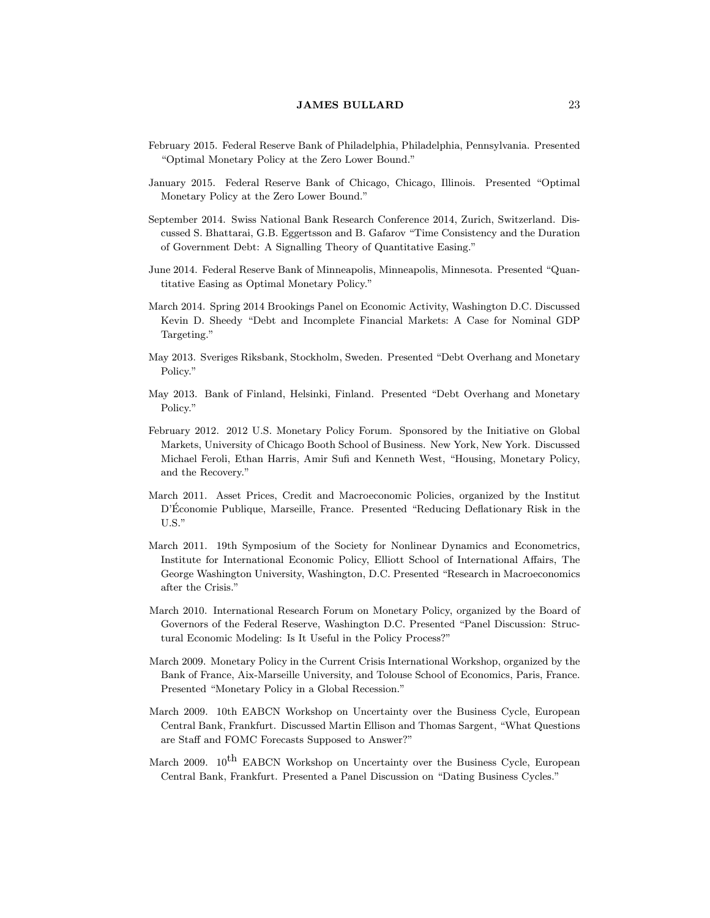- February 2015. Federal Reserve Bank of Philadelphia, Philadelphia, Pennsylvania. Presented "Optimal Monetary Policy at the Zero Lower Bound."
- January 2015. Federal Reserve Bank of Chicago, Chicago, Illinois. Presented "Optimal" Monetary Policy at the Zero Lower Bound."
- September 2014. Swiss National Bank Research Conference 2014, Zurich, Switzerland. Discussed S. Bhattarai, G.B. Eggertsson and B. Gafarov \Time Consistency and the Duration of Government Debt: A Signalling Theory of Quantitative Easing."
- June 2014. Federal Reserve Bank of Minneapolis, Minneapolis, Minnesota. Presented "Quantitative Easing as Optimal Monetary Policy."
- March 2014. Spring 2014 Brookings Panel on Economic Activity, Washington D.C. Discussed Kevin D. Sheedy "Debt and Incomplete Financial Markets: A Case for Nominal GDP Targeting."
- May 2013. Sveriges Riksbank, Stockholm, Sweden. Presented "Debt Overhang and Monetary Policy."
- May 2013. Bank of Finland, Helsinki, Finland. Presented "Debt Overhang and Monetary Policy."
- February 2012. 2012 U.S. Monetary Policy Forum. Sponsored by the Initiative on Global Markets, University of Chicago Booth School of Business. New York, New York. Discussed Michael Feroli, Ethan Harris, Amir Sufi and Kenneth West, "Housing, Monetary Policy, and the Recovery."
- March 2011. Asset Prices, Credit and Macroeconomic Policies, organized by the Institut D'Économie Publique, Marseille, France. Presented "Reducing Deflationary Risk in the U.S."
- March 2011. 19th Symposium of the Society for Nonlinear Dynamics and Econometrics, Institute for International Economic Policy, Elliott School of International Affairs, The George Washington University, Washington, D.C. Presented "Research in Macroeconomics after the Crisis."
- March 2010. International Research Forum on Monetary Policy, organized by the Board of Governors of the Federal Reserve, Washington D.C. Presented \Panel Discussion: Structural Economic Modeling: Is It Useful in the Policy Process?"
- March 2009. Monetary Policy in the Current Crisis International Workshop, organized by the Bank of France, Aix-Marseille University, and Tolouse School of Economics, Paris, France. Presented "Monetary Policy in a Global Recession."
- March 2009. 10th EABCN Workshop on Uncertainty over the Business Cycle, European Central Bank, Frankfurt. Discussed Martin Ellison and Thomas Sargent, \What Questions are Staff and FOMC Forecasts Supposed to Answer?"
- March 2009. 10<sup>th</sup> EABCN Workshop on Uncertainty over the Business Cycle, European Central Bank, Frankfurt. Presented a Panel Discussion on "Dating Business Cycles."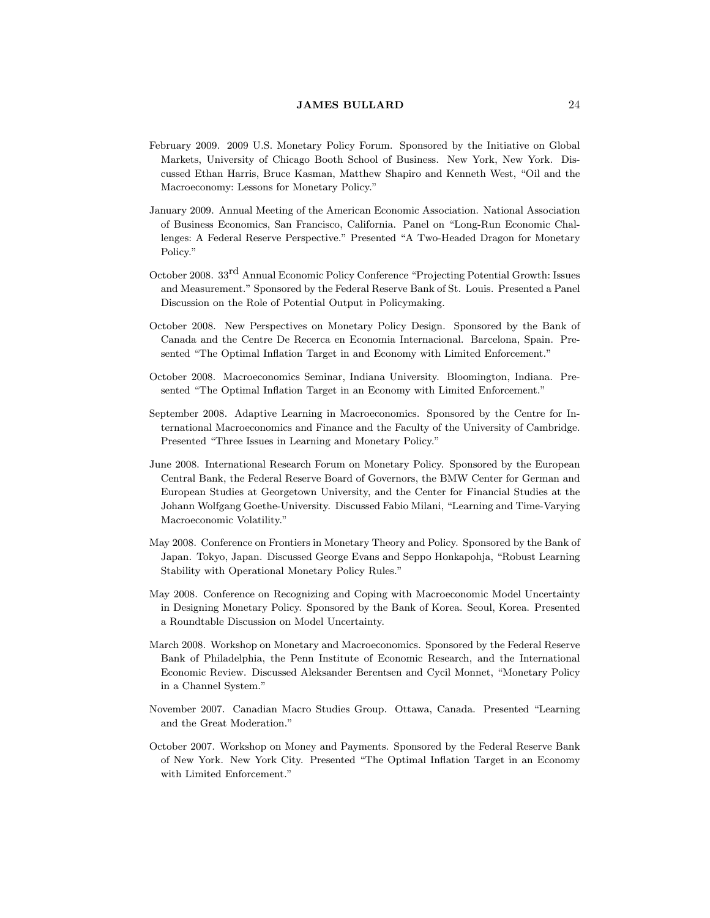- February 2009. 2009 U.S. Monetary Policy Forum. Sponsored by the Initiative on Global Markets, University of Chicago Booth School of Business. New York, New York. Discussed Ethan Harris, Bruce Kasman, Matthew Shapiro and Kenneth West, "Oil and the Macroeconomy: Lessons for Monetary Policy."
- January 2009. Annual Meeting of the American Economic Association. National Association of Business Economics, San Francisco, California. Panel on \Long-Run Economic Challenges: A Federal Reserve Perspective." Presented \A Two-Headed Dragon for Monetary Policy."
- October 2008. 33<sup>rd</sup> Annual Economic Policy Conference "Projecting Potential Growth: Issues and Measurement." Sponsored by the Federal Reserve Bank of St. Louis. Presented a Panel Discussion on the Role of Potential Output in Policymaking.
- October 2008. New Perspectives on Monetary Policy Design. Sponsored by the Bank of Canada and the Centre De Recerca en Economia Internacional. Barcelona, Spain. Presented "The Optimal Inflation Target in and Economy with Limited Enforcement."
- October 2008. Macroeconomics Seminar, Indiana University. Bloomington, Indiana. Presented "The Optimal Inflation Target in an Economy with Limited Enforcement."
- September 2008. Adaptive Learning in Macroeconomics. Sponsored by the Centre for International Macroeconomics and Finance and the Faculty of the University of Cambridge. Presented "Three Issues in Learning and Monetary Policy."
- June 2008. International Research Forum on Monetary Policy. Sponsored by the European Central Bank, the Federal Reserve Board of Governors, the BMW Center for German and European Studies at Georgetown University, and the Center for Financial Studies at the Johann Wolfgang Goethe-University. Discussed Fabio Milani, "Learning and Time-Varying Macroeconomic Volatility."
- May 2008. Conference on Frontiers in Monetary Theory and Policy. Sponsored by the Bank of Japan. Tokyo, Japan. Discussed George Evans and Seppo Honkapohja, "Robust Learning Stability with Operational Monetary Policy Rules."
- May 2008. Conference on Recognizing and Coping with Macroeconomic Model Uncertainty in Designing Monetary Policy. Sponsored by the Bank of Korea. Seoul, Korea. Presented a Roundtable Discussion on Model Uncertainty.
- March 2008. Workshop on Monetary and Macroeconomics. Sponsored by the Federal Reserve Bank of Philadelphia, the Penn Institute of Economic Research, and the International Economic Review. Discussed Aleksander Berentsen and Cycil Monnet, "Monetary Policy in a Channel System."
- November 2007. Canadian Macro Studies Group. Ottawa, Canada. Presented \Learning and the Great Moderation."
- October 2007. Workshop on Money and Payments. Sponsored by the Federal Reserve Bank of New York. New York City. Presented "The Optimal Inflation Target in an Economy with Limited Enforcement."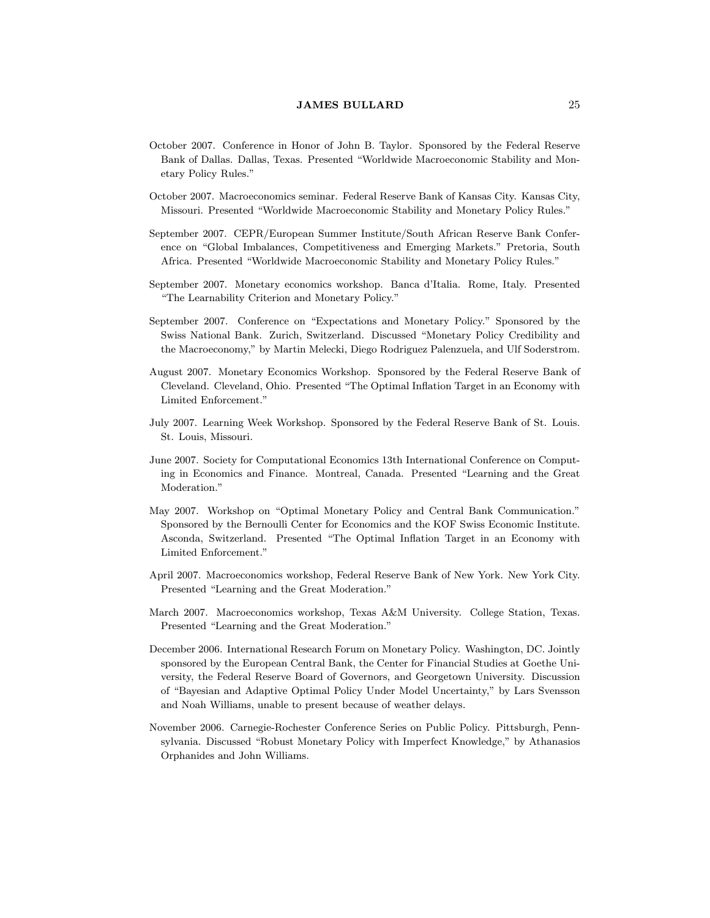- October 2007. Conference in Honor of John B. Taylor. Sponsored by the Federal Reserve Bank of Dallas. Dallas, Texas. Presented \Worldwide Macroeconomic Stability and Monetary Policy Rules."
- October 2007. Macroeconomics seminar. Federal Reserve Bank of Kansas City. Kansas City, Missouri. Presented \Worldwide Macroeconomic Stability and Monetary Policy Rules."
- September 2007. CEPR/European Summer Institute/South African Reserve Bank Conference on "Global Imbalances, Competitiveness and Emerging Markets." Pretoria, South Africa. Presented \Worldwide Macroeconomic Stability and Monetary Policy Rules."
- September 2007. Monetary economics workshop. Banca d'Italia. Rome, Italy. Presented "The Learnability Criterion and Monetary Policy."
- September 2007. Conference on "Expectations and Monetary Policy." Sponsored by the Swiss National Bank. Zurich, Switzerland. Discussed "Monetary Policy Credibility and the Macroeconomy," by Martin Melecki, Diego Rodriguez Palenzuela, and Ulf Soderstrom.
- August 2007. Monetary Economics Workshop. Sponsored by the Federal Reserve Bank of Cleveland. Cleveland, Ohio. Presented "The Optimal Inflation Target in an Economy with Limited Enforcement."
- July 2007. Learning Week Workshop. Sponsored by the Federal Reserve Bank of St. Louis. St. Louis, Missouri.
- June 2007. Society for Computational Economics 13th International Conference on Computing in Economics and Finance. Montreal, Canada. Presented \Learning and the Great Moderation."
- May 2007. Workshop on "Optimal Monetary Policy and Central Bank Communication." Sponsored by the Bernoulli Center for Economics and the KOF Swiss Economic Institute. Asconda, Switzerland. Presented "The Optimal Inflation Target in an Economy with Limited Enforcement."
- April 2007. Macroeconomics workshop, Federal Reserve Bank of New York. New York City. Presented "Learning and the Great Moderation."
- March 2007. Macroeconomics workshop, Texas A&M University. College Station, Texas. Presented "Learning and the Great Moderation."
- December 2006. International Research Forum on Monetary Policy. Washington, DC. Jointly sponsored by the European Central Bank, the Center for Financial Studies at Goethe University, the Federal Reserve Board of Governors, and Georgetown University. Discussion of "Bayesian and Adaptive Optimal Policy Under Model Uncertainty," by Lars Svensson and Noah Williams, unable to present because of weather delays.
- November 2006. Carnegie-Rochester Conference Series on Public Policy. Pittsburgh, Pennsylvania. Discussed "Robust Monetary Policy with Imperfect Knowledge," by Athanasios Orphanides and John Williams.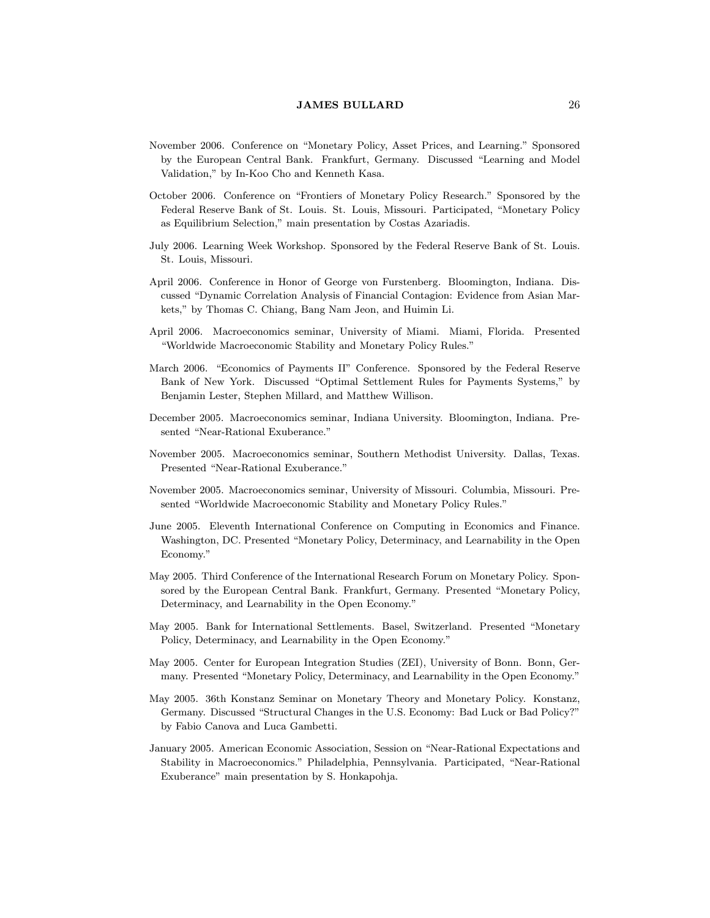- November 2006. Conference on "Monetary Policy, Asset Prices, and Learning." Sponsored by the European Central Bank. Frankfurt, Germany. Discussed "Learning and Model Validation," by In-Koo Cho and Kenneth Kasa.
- October 2006. Conference on "Frontiers of Monetary Policy Research." Sponsored by the Federal Reserve Bank of St. Louis. St. Louis, Missouri. Participated, "Monetary Policy as Equilibrium Selection," main presentation by Costas Azariadis.
- July 2006. Learning Week Workshop. Sponsored by the Federal Reserve Bank of St. Louis. St. Louis, Missouri.
- April 2006. Conference in Honor of George von Furstenberg. Bloomington, Indiana. Discussed "Dynamic Correlation Analysis of Financial Contagion: Evidence from Asian Markets," by Thomas C. Chiang, Bang Nam Jeon, and Huimin Li.
- April 2006. Macroeconomics seminar, University of Miami. Miami, Florida. Presented \Worldwide Macroeconomic Stability and Monetary Policy Rules."
- March 2006. "Economics of Payments II" Conference. Sponsored by the Federal Reserve Bank of New York. Discussed \Optimal Settlement Rules for Payments Systems," by Benjamin Lester, Stephen Millard, and Matthew Willison.
- December 2005. Macroeconomics seminar, Indiana University. Bloomington, Indiana. Presented "Near-Rational Exuberance."
- November 2005. Macroeconomics seminar, Southern Methodist University. Dallas, Texas. Presented "Near-Rational Exuberance."
- November 2005. Macroeconomics seminar, University of Missouri. Columbia, Missouri. Presented "Worldwide Macroeconomic Stability and Monetary Policy Rules."
- June 2005. Eleventh International Conference on Computing in Economics and Finance. Washington, DC. Presented "Monetary Policy, Determinacy, and Learnability in the Open Economy."
- May 2005. Third Conference of the International Research Forum on Monetary Policy. Sponsored by the European Central Bank. Frankfurt, Germany. Presented "Monetary Policy, Determinacy, and Learnability in the Open Economy."
- May 2005. Bank for International Settlements. Basel, Switzerland. Presented "Monetary Policy, Determinacy, and Learnability in the Open Economy."
- May 2005. Center for European Integration Studies (ZEI), University of Bonn. Bonn, Germany. Presented "Monetary Policy, Determinacy, and Learnability in the Open Economy."
- May 2005. 36th Konstanz Seminar on Monetary Theory and Monetary Policy. Konstanz, Germany. Discussed "Structural Changes in the U.S. Economy: Bad Luck or Bad Policy?" by Fabio Canova and Luca Gambetti.
- January 2005. American Economic Association, Session on \Near-Rational Expectations and Stability in Macroeconomics." Philadelphia, Pennsylvania. Participated, "Near-Rational Exuberance" main presentation by S. Honkapohja.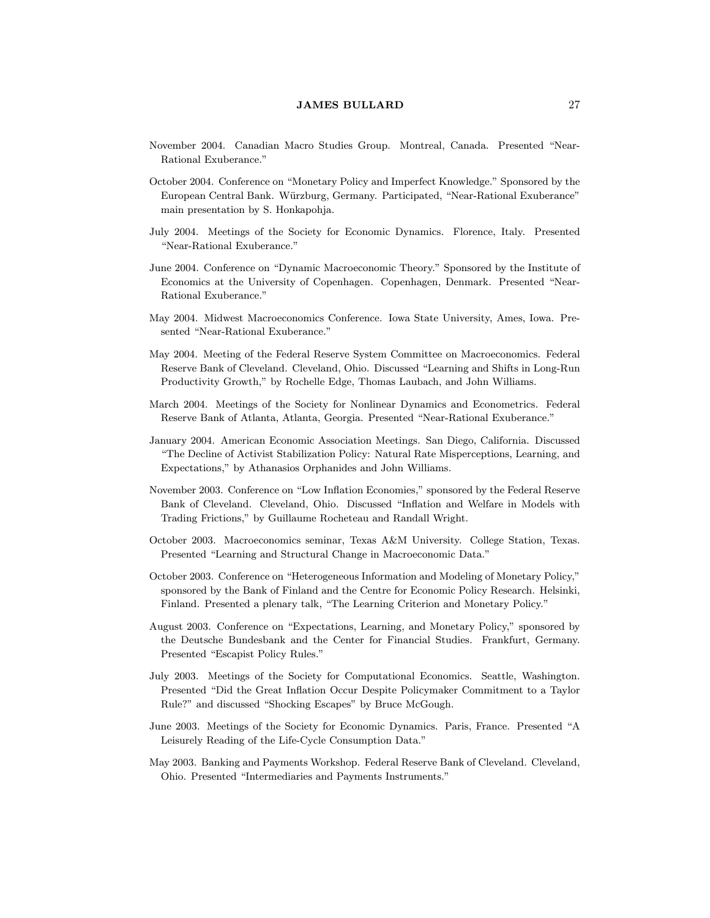- November 2004. Canadian Macro Studies Group. Montreal, Canada. Presented \Near-Rational Exuberance."
- October 2004. Conference on "Monetary Policy and Imperfect Knowledge." Sponsored by the European Central Bank. Wurzburg, Germany. Participated, \Near-Rational Exuberance" main presentation by S. Honkapohja.
- July 2004. Meetings of the Society for Economic Dynamics. Florence, Italy. Presented "Near-Rational Exuberance."
- June 2004. Conference on "Dynamic Macroeconomic Theory." Sponsored by the Institute of Economics at the University of Copenhagen. Copenhagen, Denmark. Presented "Near-Rational Exuberance."
- May 2004. Midwest Macroeconomics Conference. Iowa State University, Ames, Iowa. Presented "Near-Rational Exuberance."
- May 2004. Meeting of the Federal Reserve System Committee on Macroeconomics. Federal Reserve Bank of Cleveland. Cleveland, Ohio. Discussed "Learning and Shifts in Long-Run Productivity Growth," by Rochelle Edge, Thomas Laubach, and John Williams.
- March 2004. Meetings of the Society for Nonlinear Dynamics and Econometrics. Federal Reserve Bank of Atlanta, Atlanta, Georgia. Presented \Near-Rational Exuberance."
- January 2004. American Economic Association Meetings. San Diego, California. Discussed \The Decline of Activist Stabilization Policy: Natural Rate Misperceptions, Learning, and Expectations," by Athanasios Orphanides and John Williams.
- November 2003. Conference on "Low Inflation Economies," sponsored by the Federal Reserve Bank of Cleveland. Cleveland, Ohio. Discussed "Inflation and Welfare in Models with Trading Frictions," by Guillaume Rocheteau and Randall Wright.
- October 2003. Macroeconomics seminar, Texas A&M University. College Station, Texas. Presented "Learning and Structural Change in Macroeconomic Data."
- October 2003. Conference on "Heterogeneous Information and Modeling of Monetary Policy," sponsored by the Bank of Finland and the Centre for Economic Policy Research. Helsinki, Finland. Presented a plenary talk, "The Learning Criterion and Monetary Policy."
- August 2003. Conference on \Expectations, Learning, and Monetary Policy," sponsored by the Deutsche Bundesbank and the Center for Financial Studies. Frankfurt, Germany. Presented "Escapist Policy Rules."
- July 2003. Meetings of the Society for Computational Economics. Seattle, Washington. Presented "Did the Great Inflation Occur Despite Policymaker Commitment to a Taylor Rule?" and discussed "Shocking Escapes" by Bruce McGough.
- June 2003. Meetings of the Society for Economic Dynamics. Paris, France. Presented "A Leisurely Reading of the Life-Cycle Consumption Data."
- May 2003. Banking and Payments Workshop. Federal Reserve Bank of Cleveland. Cleveland, Ohio. Presented \Intermediaries and Payments Instruments."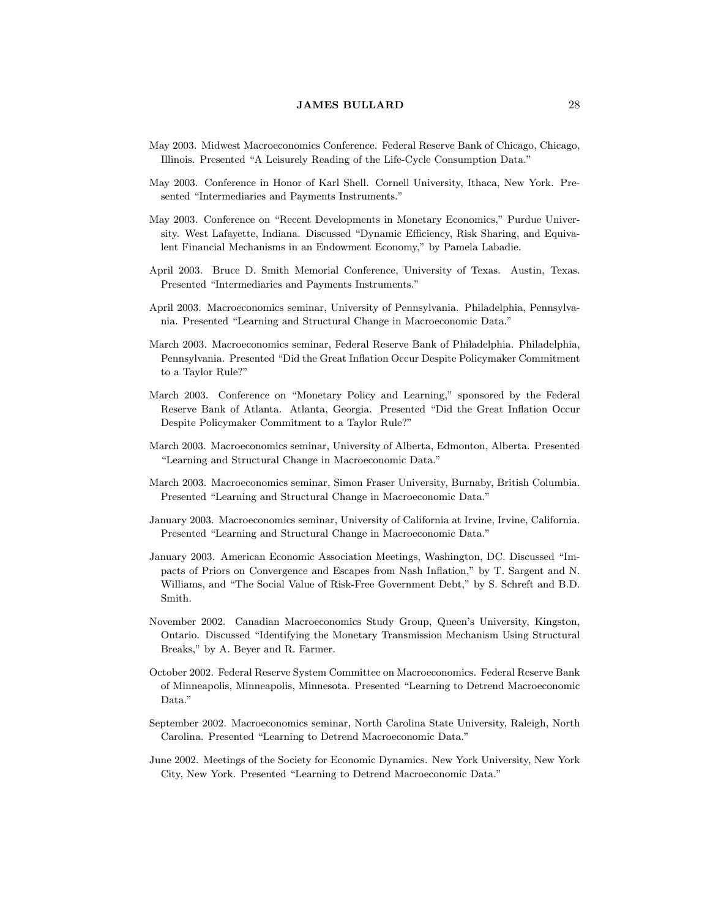- May 2003. Midwest Macroeconomics Conference. Federal Reserve Bank of Chicago, Chicago, Illinois. Presented "A Leisurely Reading of the Life-Cycle Consumption Data."
- May 2003. Conference in Honor of Karl Shell. Cornell University, Ithaca, New York. Presented "Intermediaries and Payments Instruments."
- May 2003. Conference on "Recent Developments in Monetary Economics," Purdue University. West Lafayette, Indiana. Discussed "Dynamic Efficiency, Risk Sharing, and Equivalent Financial Mechanisms in an Endowment Economy," by Pamela Labadie.
- April 2003. Bruce D. Smith Memorial Conference, University of Texas. Austin, Texas. Presented "Intermediaries and Payments Instruments."
- April 2003. Macroeconomics seminar, University of Pennsylvania. Philadelphia, Pennsylvania. Presented "Learning and Structural Change in Macroeconomic Data."
- March 2003. Macroeconomics seminar, Federal Reserve Bank of Philadelphia. Philadelphia, Pennsylvania. Presented "Did the Great Inflation Occur Despite Policymaker Commitment to a Taylor Rule?"
- March 2003. Conference on "Monetary Policy and Learning," sponsored by the Federal Reserve Bank of Atlanta. Atlanta, Georgia. Presented "Did the Great Inflation Occur Despite Policymaker Commitment to a Taylor Rule?"
- March 2003. Macroeconomics seminar, University of Alberta, Edmonton, Alberta. Presented "Learning and Structural Change in Macroeconomic Data."
- March 2003. Macroeconomics seminar, Simon Fraser University, Burnaby, British Columbia. Presented "Learning and Structural Change in Macroeconomic Data."
- January 2003. Macroeconomics seminar, University of California at Irvine, Irvine, California. Presented "Learning and Structural Change in Macroeconomic Data."
- January 2003. American Economic Association Meetings, Washington, DC. Discussed \Impacts of Priors on Convergence and Escapes from Nash Inflation," by T. Sargent and N. Williams, and "The Social Value of Risk-Free Government Debt," by S. Schreft and B.D. Smith.
- November 2002. Canadian Macroeconomics Study Group, Queen's University, Kingston, Ontario. Discussed \Identifying the Monetary Transmission Mechanism Using Structural Breaks," by A. Beyer and R. Farmer.
- October 2002. Federal Reserve System Committee on Macroeconomics. Federal Reserve Bank of Minneapolis, Minneapolis, Minnesota. Presented \Learning to Detrend Macroeconomic Data."
- September 2002. Macroeconomics seminar, North Carolina State University, Raleigh, North Carolina. Presented "Learning to Detrend Macroeconomic Data."
- June 2002. Meetings of the Society for Economic Dynamics. New York University, New York City, New York. Presented "Learning to Detrend Macroeconomic Data."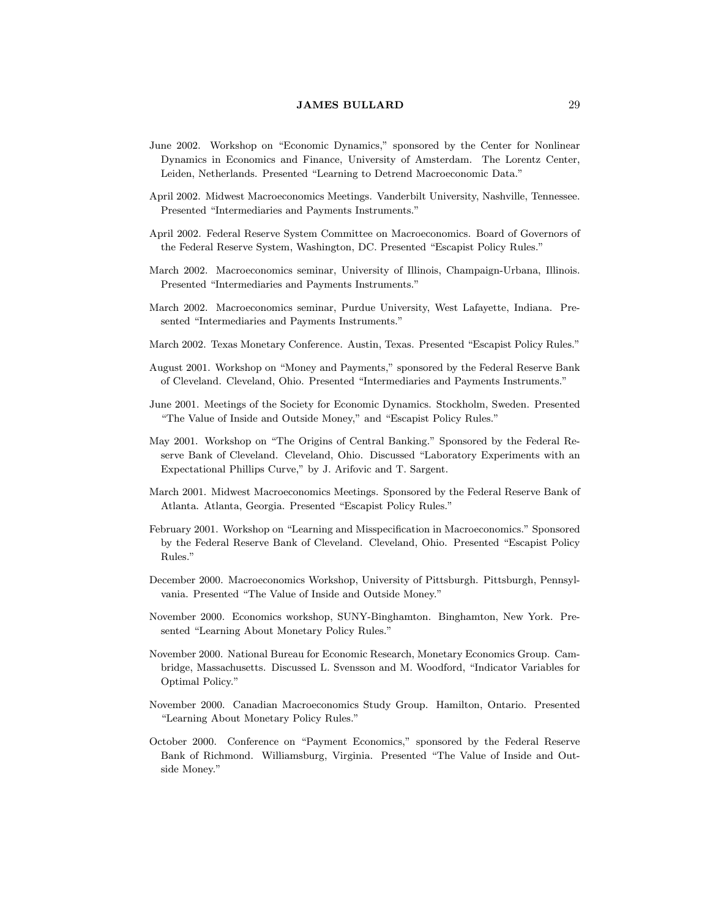- June 2002. Workshop on "Economic Dynamics," sponsored by the Center for Nonlinear Dynamics in Economics and Finance, University of Amsterdam. The Lorentz Center, Leiden, Netherlands. Presented "Learning to Detrend Macroeconomic Data."
- April 2002. Midwest Macroeconomics Meetings. Vanderbilt University, Nashville, Tennessee. Presented "Intermediaries and Payments Instruments."
- April 2002. Federal Reserve System Committee on Macroeconomics. Board of Governors of the Federal Reserve System, Washington, DC. Presented "Escapist Policy Rules."
- March 2002. Macroeconomics seminar, University of Illinois, Champaign-Urbana, Illinois. Presented "Intermediaries and Payments Instruments."
- March 2002. Macroeconomics seminar, Purdue University, West Lafayette, Indiana. Presented "Intermediaries and Payments Instruments."
- March 2002. Texas Monetary Conference. Austin, Texas. Presented "Escapist Policy Rules."
- August 2001. Workshop on "Money and Payments," sponsored by the Federal Reserve Bank of Cleveland. Cleveland, Ohio. Presented \Intermediaries and Payments Instruments."
- June 2001. Meetings of the Society for Economic Dynamics. Stockholm, Sweden. Presented "The Value of Inside and Outside Money," and "Escapist Policy Rules."
- May 2001. Workshop on "The Origins of Central Banking." Sponsored by the Federal Reserve Bank of Cleveland. Cleveland, Ohio. Discussed "Laboratory Experiments with an Expectational Phillips Curve," by J. Arifovic and T. Sargent.
- March 2001. Midwest Macroeconomics Meetings. Sponsored by the Federal Reserve Bank of Atlanta. Atlanta, Georgia. Presented "Escapist Policy Rules."
- February 2001. Workshop on "Learning and Misspecification in Macroeconomics." Sponsored by the Federal Reserve Bank of Cleveland. Cleveland, Ohio. Presented \Escapist Policy Rules."
- December 2000. Macroeconomics Workshop, University of Pittsburgh. Pittsburgh, Pennsylvania. Presented "The Value of Inside and Outside Money."
- November 2000. Economics workshop, SUNY-Binghamton. Binghamton, New York. Presented "Learning About Monetary Policy Rules."
- November 2000. National Bureau for Economic Research, Monetary Economics Group. Cambridge, Massachusetts. Discussed L. Svensson and M. Woodford, \Indicator Variables for Optimal Policy."
- November 2000. Canadian Macroeconomics Study Group. Hamilton, Ontario. Presented "Learning About Monetary Policy Rules."
- October 2000. Conference on \Payment Economics," sponsored by the Federal Reserve Bank of Richmond. Williamsburg, Virginia. Presented \The Value of Inside and Outside Money."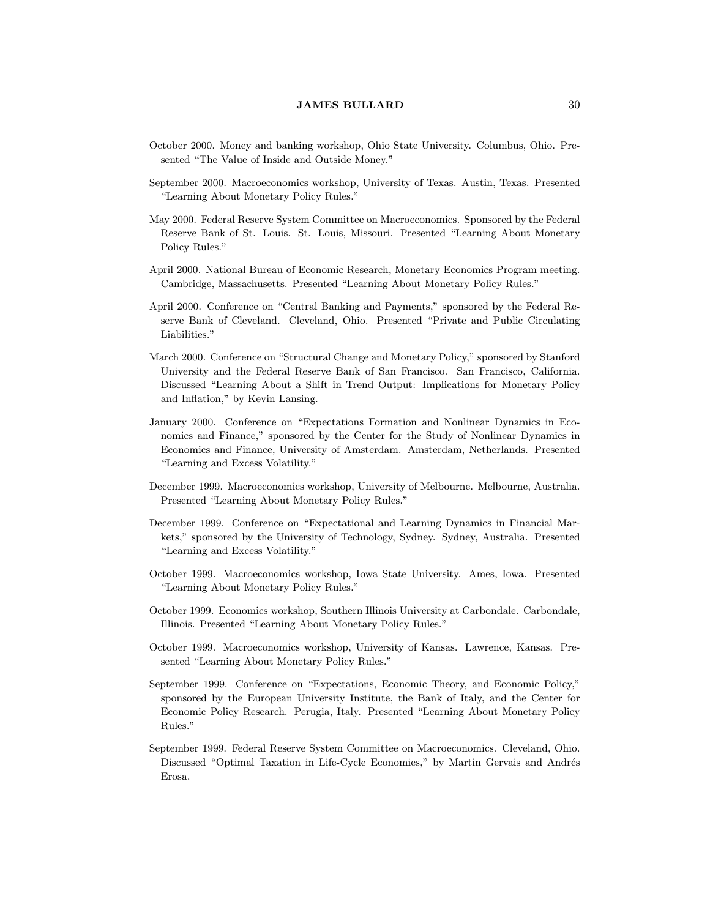- October 2000. Money and banking workshop, Ohio State University. Columbus, Ohio. Presented "The Value of Inside and Outside Money."
- September 2000. Macroeconomics workshop, University of Texas. Austin, Texas. Presented "Learning About Monetary Policy Rules."
- May 2000. Federal Reserve System Committee on Macroeconomics. Sponsored by the Federal Reserve Bank of St. Louis. St. Louis, Missouri. Presented "Learning About Monetary Policy Rules."
- April 2000. National Bureau of Economic Research, Monetary Economics Program meeting. Cambridge, Massachusetts. Presented "Learning About Monetary Policy Rules."
- April 2000. Conference on "Central Banking and Payments," sponsored by the Federal Reserve Bank of Cleveland. Cleveland, Ohio. Presented \Private and Public Circulating Liabilities."
- March 2000. Conference on "Structural Change and Monetary Policy," sponsored by Stanford University and the Federal Reserve Bank of San Francisco. San Francisco, California. Discussed "Learning About a Shift in Trend Output: Implications for Monetary Policy and Inflation," by Kevin Lansing.
- January 2000. Conference on "Expectations Formation and Nonlinear Dynamics in Economics and Finance," sponsored by the Center for the Study of Nonlinear Dynamics in Economics and Finance, University of Amsterdam. Amsterdam, Netherlands. Presented "Learning and Excess Volatility."
- December 1999. Macroeconomics workshop, University of Melbourne. Melbourne, Australia. Presented "Learning About Monetary Policy Rules."
- December 1999. Conference on "Expectational and Learning Dynamics in Financial Markets," sponsored by the University of Technology, Sydney. Sydney, Australia. Presented "Learning and Excess Volatility."
- October 1999. Macroeconomics workshop, Iowa State University. Ames, Iowa. Presented "Learning About Monetary Policy Rules."
- October 1999. Economics workshop, Southern Illinois University at Carbondale. Carbondale, Illinois. Presented "Learning About Monetary Policy Rules."
- October 1999. Macroeconomics workshop, University of Kansas. Lawrence, Kansas. Presented "Learning About Monetary Policy Rules."
- September 1999. Conference on "Expectations, Economic Theory, and Economic Policy," sponsored by the European University Institute, the Bank of Italy, and the Center for Economic Policy Research. Perugia, Italy. Presented "Learning About Monetary Policy Rules."
- September 1999. Federal Reserve System Committee on Macroeconomics. Cleveland, Ohio. Discussed "Optimal Taxation in Life-Cycle Economies," by Martin Gervais and Andrés Erosa.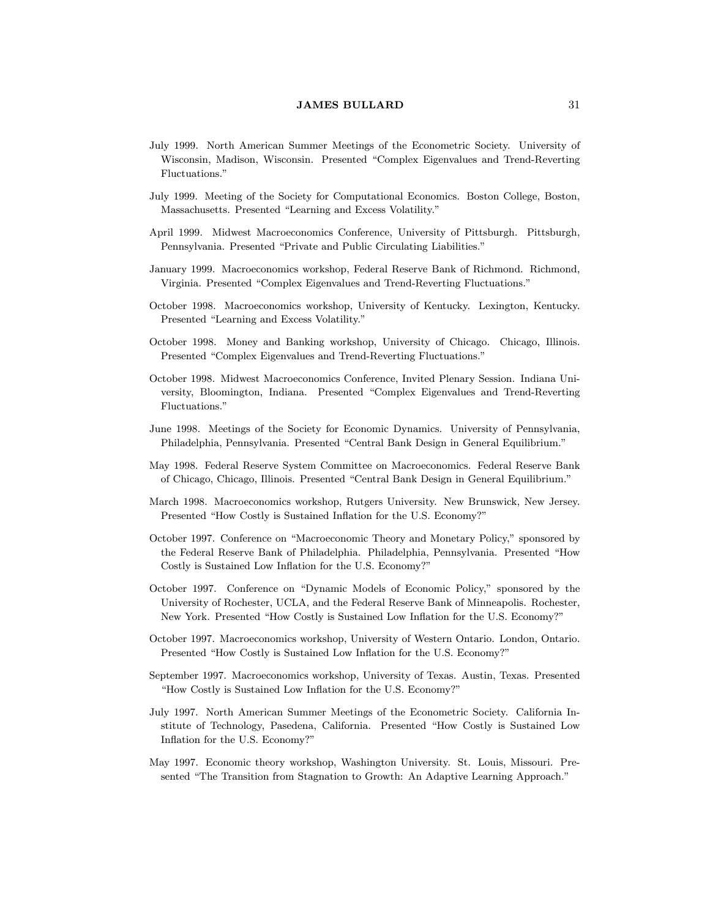- July 1999. North American Summer Meetings of the Econometric Society. University of Wisconsin, Madison, Wisconsin. Presented "Complex Eigenvalues and Trend-Reverting Fluctuations."
- July 1999. Meeting of the Society for Computational Economics. Boston College, Boston, Massachusetts. Presented "Learning and Excess Volatility."
- April 1999. Midwest Macroeconomics Conference, University of Pittsburgh. Pittsburgh, Pennsylvania. Presented "Private and Public Circulating Liabilities."
- January 1999. Macroeconomics workshop, Federal Reserve Bank of Richmond. Richmond, Virginia. Presented "Complex Eigenvalues and Trend-Reverting Fluctuations."
- October 1998. Macroeconomics workshop, University of Kentucky. Lexington, Kentucky. Presented "Learning and Excess Volatility."
- October 1998. Money and Banking workshop, University of Chicago. Chicago, Illinois. Presented "Complex Eigenvalues and Trend-Reverting Fluctuations."
- October 1998. Midwest Macroeconomics Conference, Invited Plenary Session. Indiana University, Bloomington, Indiana. Presented \Complex Eigenvalues and Trend-Reverting Fluctuations."
- June 1998. Meetings of the Society for Economic Dynamics. University of Pennsylvania, Philadelphia, Pennsylvania. Presented "Central Bank Design in General Equilibrium."
- May 1998. Federal Reserve System Committee on Macroeconomics. Federal Reserve Bank of Chicago, Chicago, Illinois. Presented \Central Bank Design in General Equilibrium."
- March 1998. Macroeconomics workshop, Rutgers University. New Brunswick, New Jersey. Presented "How Costly is Sustained Inflation for the U.S. Economy?"
- October 1997. Conference on "Macroeconomic Theory and Monetary Policy," sponsored by the Federal Reserve Bank of Philadelphia. Philadelphia, Pennsylvania. Presented "How Costly is Sustained Low Inflation for the U.S. Economy?"
- October 1997. Conference on "Dynamic Models of Economic Policy," sponsored by the University of Rochester, UCLA, and the Federal Reserve Bank of Minneapolis. Rochester, New York. Presented "How Costly is Sustained Low Inflation for the U.S. Economy?"
- October 1997. Macroeconomics workshop, University of Western Ontario. London, Ontario. Presented "How Costly is Sustained Low Inflation for the U.S. Economy?"
- September 1997. Macroeconomics workshop, University of Texas. Austin, Texas. Presented "How Costly is Sustained Low Inflation for the U.S. Economy?"
- July 1997. North American Summer Meetings of the Econometric Society. California Institute of Technology, Pasedena, California. Presented "How Costly is Sustained Low In
ation for the U.S. Economy?"
- May 1997. Economic theory workshop, Washington University. St. Louis, Missouri. Presented "The Transition from Stagnation to Growth: An Adaptive Learning Approach."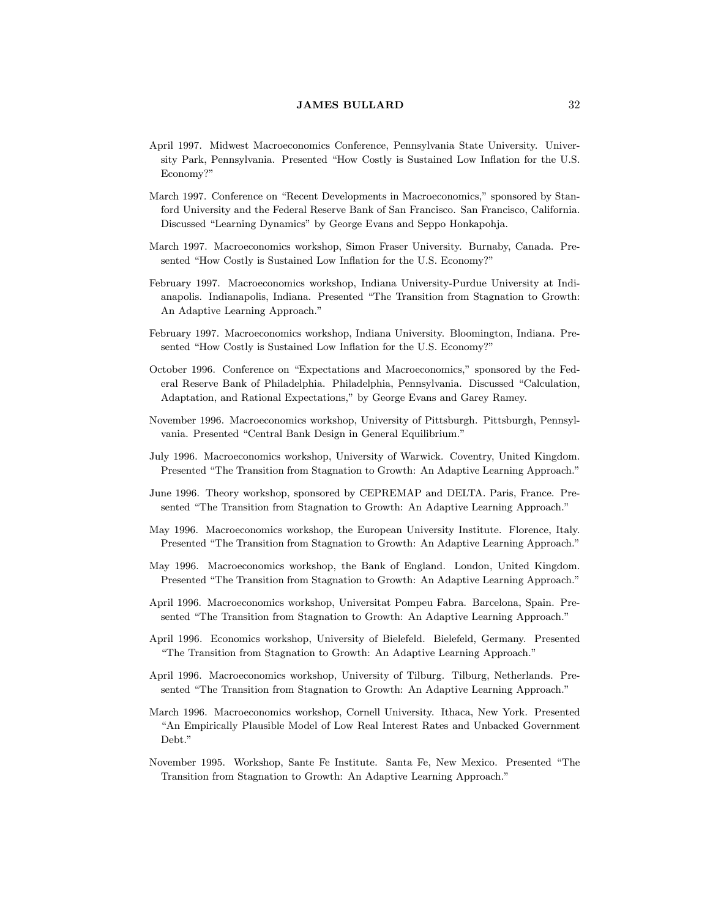- April 1997. Midwest Macroeconomics Conference, Pennsylvania State University. University Park, Pennsylvania. Presented "How Costly is Sustained Low Inflation for the U.S. Economy?"
- March 1997. Conference on "Recent Developments in Macroeconomics," sponsored by Stanford University and the Federal Reserve Bank of San Francisco. San Francisco, California. Discussed "Learning Dynamics" by George Evans and Seppo Honkapohja.
- March 1997. Macroeconomics workshop, Simon Fraser University. Burnaby, Canada. Presented "How Costly is Sustained Low Inflation for the U.S. Economy?"
- February 1997. Macroeconomics workshop, Indiana University-Purdue University at Indianapolis. Indianapolis, Indiana. Presented \The Transition from Stagnation to Growth: An Adaptive Learning Approach."
- February 1997. Macroeconomics workshop, Indiana University. Bloomington, Indiana. Presented "How Costly is Sustained Low Inflation for the U.S. Economy?"
- October 1996. Conference on "Expectations and Macroeconomics," sponsored by the Federal Reserve Bank of Philadelphia. Philadelphia, Pennsylvania. Discussed \Calculation, Adaptation, and Rational Expectations," by George Evans and Garey Ramey.
- November 1996. Macroeconomics workshop, University of Pittsburgh. Pittsburgh, Pennsylvania. Presented "Central Bank Design in General Equilibrium."
- July 1996. Macroeconomics workshop, University of Warwick. Coventry, United Kingdom. Presented "The Transition from Stagnation to Growth: An Adaptive Learning Approach."
- June 1996. Theory workshop, sponsored by CEPREMAP and DELTA. Paris, France. Presented "The Transition from Stagnation to Growth: An Adaptive Learning Approach."
- May 1996. Macroeconomics workshop, the European University Institute. Florence, Italy. Presented "The Transition from Stagnation to Growth: An Adaptive Learning Approach."
- May 1996. Macroeconomics workshop, the Bank of England. London, United Kingdom. Presented "The Transition from Stagnation to Growth: An Adaptive Learning Approach."
- April 1996. Macroeconomics workshop, Universitat Pompeu Fabra. Barcelona, Spain. Presented "The Transition from Stagnation to Growth: An Adaptive Learning Approach."
- April 1996. Economics workshop, University of Bielefeld. Bielefeld, Germany. Presented \The Transition from Stagnation to Growth: An Adaptive Learning Approach."
- April 1996. Macroeconomics workshop, University of Tilburg. Tilburg, Netherlands. Presented "The Transition from Stagnation to Growth: An Adaptive Learning Approach."
- March 1996. Macroeconomics workshop, Cornell University. Ithaca, New York. Presented "An Empirically Plausible Model of Low Real Interest Rates and Unbacked Government Debt."
- November 1995. Workshop, Sante Fe Institute. Santa Fe, New Mexico. Presented \The Transition from Stagnation to Growth: An Adaptive Learning Approach."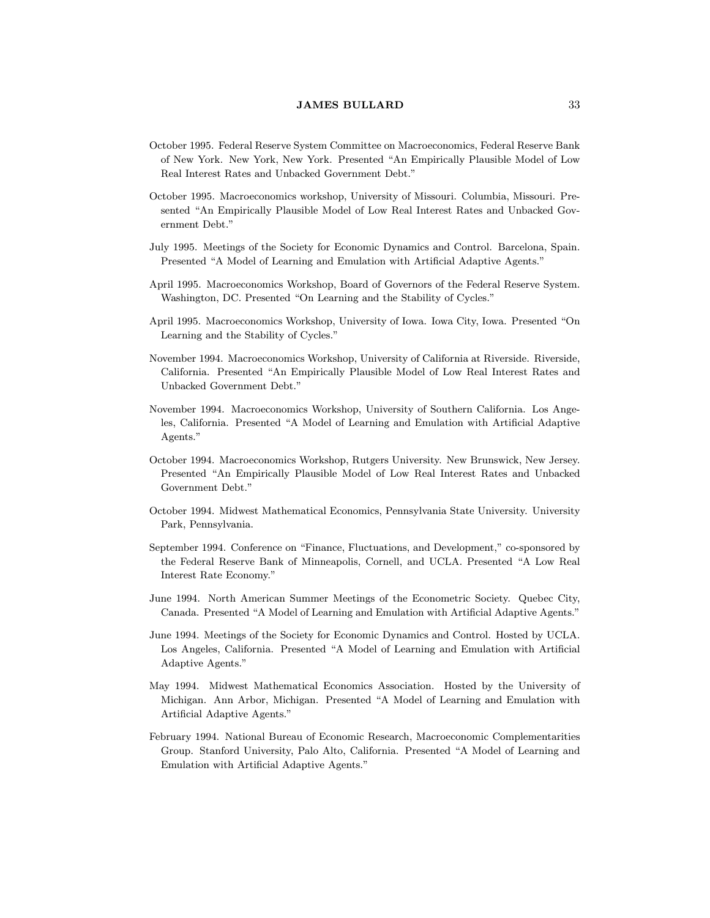- October 1995. Federal Reserve System Committee on Macroeconomics, Federal Reserve Bank of New York. New York, New York. Presented \An Empirically Plausible Model of Low Real Interest Rates and Unbacked Government Debt."
- October 1995. Macroeconomics workshop, University of Missouri. Columbia, Missouri. Presented "An Empirically Plausible Model of Low Real Interest Rates and Unbacked Government Debt."
- July 1995. Meetings of the Society for Economic Dynamics and Control. Barcelona, Spain. Presented "A Model of Learning and Emulation with Artificial Adaptive Agents."
- April 1995. Macroeconomics Workshop, Board of Governors of the Federal Reserve System. Washington, DC. Presented "On Learning and the Stability of Cycles."
- April 1995. Macroeconomics Workshop, University of Iowa. Iowa City, Iowa. Presented "On Learning and the Stability of Cycles."
- November 1994. Macroeconomics Workshop, University of California at Riverside. Riverside, California. Presented "An Empirically Plausible Model of Low Real Interest Rates and Unbacked Government Debt."
- November 1994. Macroeconomics Workshop, University of Southern California. Los Angeles, California. Presented "A Model of Learning and Emulation with Artificial Adaptive Agents."
- October 1994. Macroeconomics Workshop, Rutgers University. New Brunswick, New Jersey. Presented "An Empirically Plausible Model of Low Real Interest Rates and Unbacked Government Debt."
- October 1994. Midwest Mathematical Economics, Pennsylvania State University. University Park, Pennsylvania.
- September 1994. Conference on "Finance, Fluctuations, and Development," co-sponsored by the Federal Reserve Bank of Minneapolis, Cornell, and UCLA. Presented "A Low Real Interest Rate Economy."
- June 1994. North American Summer Meetings of the Econometric Society. Quebec City, Canada. Presented "A Model of Learning and Emulation with Artificial Adaptive Agents."
- June 1994. Meetings of the Society for Economic Dynamics and Control. Hosted by UCLA. Los Angeles, California. Presented "A Model of Learning and Emulation with Artificial Adaptive Agents."
- May 1994. Midwest Mathematical Economics Association. Hosted by the University of Michigan. Ann Arbor, Michigan. Presented "A Model of Learning and Emulation with Articial Adaptive Agents."
- February 1994. National Bureau of Economic Research, Macroeconomic Complementarities Group. Stanford University, Palo Alto, California. Presented \A Model of Learning and Emulation with Articial Adaptive Agents."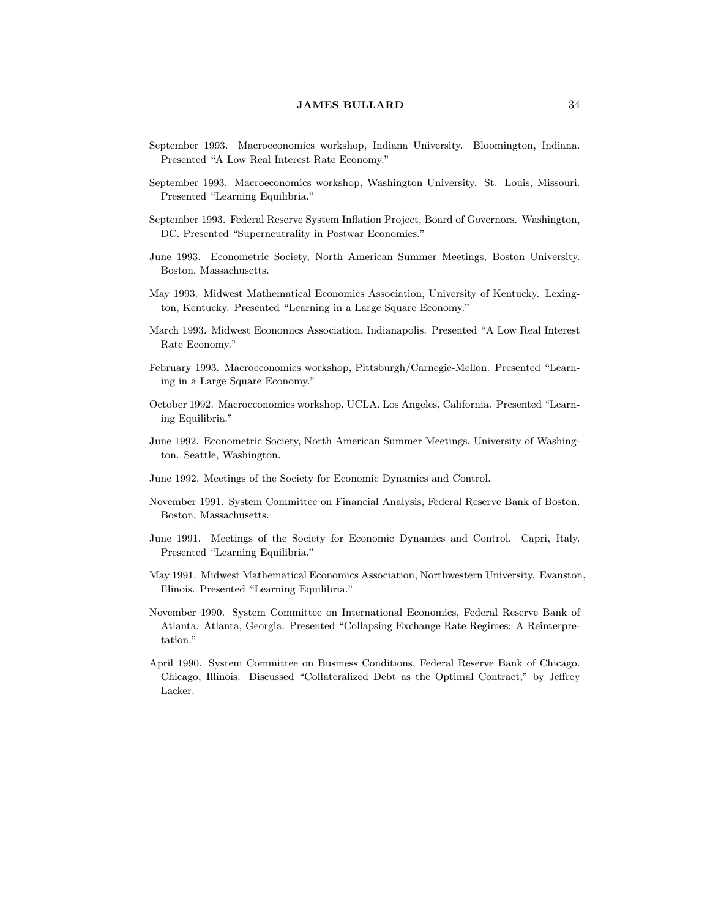- September 1993. Macroeconomics workshop, Indiana University. Bloomington, Indiana. Presented "A Low Real Interest Rate Economy."
- September 1993. Macroeconomics workshop, Washington University. St. Louis, Missouri. Presented "Learning Equilibria."
- September 1993. Federal Reserve System In
ation Project, Board of Governors. Washington, DC. Presented "Superneutrality in Postwar Economies."
- June 1993. Econometric Society, North American Summer Meetings, Boston University. Boston, Massachusetts.
- May 1993. Midwest Mathematical Economics Association, University of Kentucky. Lexington, Kentucky. Presented "Learning in a Large Square Economy."
- March 1993. Midwest Economics Association, Indianapolis. Presented \A Low Real Interest Rate Economy."
- February 1993. Macroeconomics workshop, Pittsburgh/Carnegie-Mellon. Presented "Learning in a Large Square Economy."
- October 1992. Macroeconomics workshop, UCLA. Los Angeles, California. Presented "Learning Equilibria."
- June 1992. Econometric Society, North American Summer Meetings, University of Washington. Seattle, Washington.
- June 1992. Meetings of the Society for Economic Dynamics and Control.
- November 1991. System Committee on Financial Analysis, Federal Reserve Bank of Boston. Boston, Massachusetts.
- June 1991. Meetings of the Society for Economic Dynamics and Control. Capri, Italy. Presented "Learning Equilibria."
- May 1991. Midwest Mathematical Economics Association, Northwestern University. Evanston, Illinois. Presented "Learning Equilibria."
- November 1990. System Committee on International Economics, Federal Reserve Bank of Atlanta. Atlanta, Georgia. Presented \Collapsing Exchange Rate Regimes: A Reinterpretation."
- April 1990. System Committee on Business Conditions, Federal Reserve Bank of Chicago. Chicago, Illinois. Discussed "Collateralized Debt as the Optimal Contract," by Jeffrey Lacker.